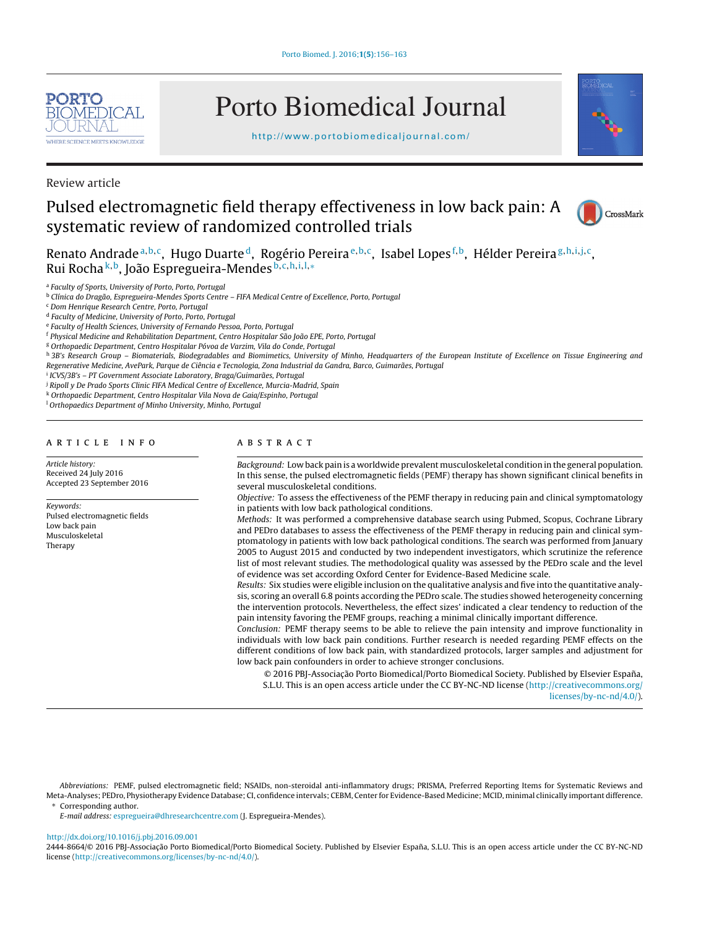

# Porto Biomedical Journal

http://www.portobiomedicaljournal.com/

Review article

# Pulsed electromagnetic field therapy effectiveness in low back pain: A systematic review of randomized controlled trials



Renato Andrade<sup>a,b,c</sup>, Hugo Duarte<sup>d</sup>, Rogério Pereira<sup>e,b,c</sup>, Isabel Lopes<sup>f,b</sup>, Hélder Pereira<sup>g,h,i,j,c</sup>, Rui Rocha k,b, João Espregueira-Mendes b,c,h,i,l,\*

<sup>a</sup> Faculty of Sports, University of Porto, Porto, Portugal

<sup>b</sup> Clínica do Dragão, Espregueira-Mendes Sports Centre – FIFA Medical Centre of Excellence, Porto, Portugal

<sup>c</sup> Dom Henrique Research Centre, Porto, Portugal

<sup>d</sup> Faculty of Medicine, University of Porto, Porto, Portugal

<sup>e</sup> Faculty of Health Sciences, University of Fernando Pessoa, Porto, Portugal

<sup>f</sup> Physical Medicine and Rehabilitation Department, Centro Hospitalar São João EPE, Porto, Portugal

<sup>g</sup> Orthopaedic Department, Centro Hospitalar Póvoa de Varzim, Vila do Conde, Portugal

h 3B's Research Group - Biomaterials, Biodegradables and Biomimetics, University of Minho, Headquarters of the European Institute of Excellence on Tissue Engineering and Regenerative Medicine, AvePark, Parque de Ciência e Tecnologia, Zona Industrial da Gandra, Barco, Guimarães, Portugal

<sup>i</sup> ICVS/3B's – PT Government Associate Laboratory, Braga/Guimarães, Portugal

<sup>j</sup> Ripoll y De Prado Sports Clinic FIFA Medical Centre of Excellence, Murcia-Madrid, Spain

<sup>k</sup> Orthopaedic Department, Centro Hospitalar Vila Nova de Gaia/Espinho, Portugal

<sup>1</sup> Orthopaedics Department of Minho University, Minho, Portugal

a r t i c l e i n f o

Article history: Received 24 July 2016 Accepted 23 September 2016

Keywords: Pulsed electromagnetic fields Low back pain Musculoskeletal Therapy

# A B S T R A C T

Background: Low back pain is a worldwide prevalent musculoskeletal condition in the general population. In this sense, the pulsed electromagnetic fields (PEMF) therapy has shown significant clinical benefits in several musculoskeletal conditions.

Objective: To assess the effectiveness of the PEMF therapy in reducing pain and clinical symptomatology in patients with low back pathological conditions.

Methods: It was performed a comprehensive database search using Pubmed, Scopus, Cochrane Library and PEDro databases to assess the effectiveness of the PEMF therapy in reducing pain and clinical symptomatology in patients with low back pathological conditions. The search was performed from January 2005 to August 2015 and conducted by two independent investigators, which scrutinize the reference list of most relevant studies. The methodological quality was assessed by the PEDro scale and the level of evidence was set according Oxford Center for Evidence-Based Medicine scale.

Results: Six studies were eligible inclusion on the qualitative analysis and five into the quantitative analysis, scoring an overall 6.8 points according the PEDro scale. The studies showed heterogeneity concerning the intervention protocols. Nevertheless, the effect sizes' indicated a clear tendency to reduction of the pain intensity favoring the PEMF groups, reaching a minimal clinically important difference.

Conclusion: PEMF therapy seems to be able to relieve the pain intensity and improve functionality in individuals with low back pain conditions. Further research is needed regarding PEMF effects on the different conditions of low back pain, with standardized protocols, larger samples and adjustment for low back pain confounders in order to achieve stronger conclusions.

© 2016 PBJ-Associação Porto Biomedical/Porto Biomedical Society. Published by Elsevier España, S.L.U. This is an open access article under the CC BY-NC-ND license ([http://creativecommons.org/](http://creativecommons.org/licenses/by-nc-nd/4.0/) [licenses/by-nc-nd/4.0/](http://creativecommons.org/licenses/by-nc-nd/4.0/)).

Abbreviations: PEMF, pulsed electromagnetic field; NSAIDs, non-steroidal anti-inflammatory drugs; PRISMA, Preferred Reporting Items for Systematic Reviews and Meta-Analyses; PEDro, Physiotherapy Evidence Database; CI, confidence intervals; CEBM, Center for Evidence-Based Medicine; MCID, minimal clinically important difference.

∗ Corresponding author.

E-mail address: [espregueira@dhresearchcentre.com](mailto:espregueira@dhresearchcentre.com) (J. Espregueira-Mendes).

[http://dx.doi.org/10.1016/j.pbj.2016.09.001](dx.doi.org/10.1016/j.pbj.2016.09.001)

2444-8664/© 2016 PBJ-Associação Porto Biomedical/Porto Biomedical Society. Published by Elsevier España, S.L.U. This is an open access article under the CC BY-NC-ND license [\(http://creativecommons.org/licenses/by-nc-nd/4.0/\)](http://creativecommons.org/licenses/by-nc-nd/4.0/).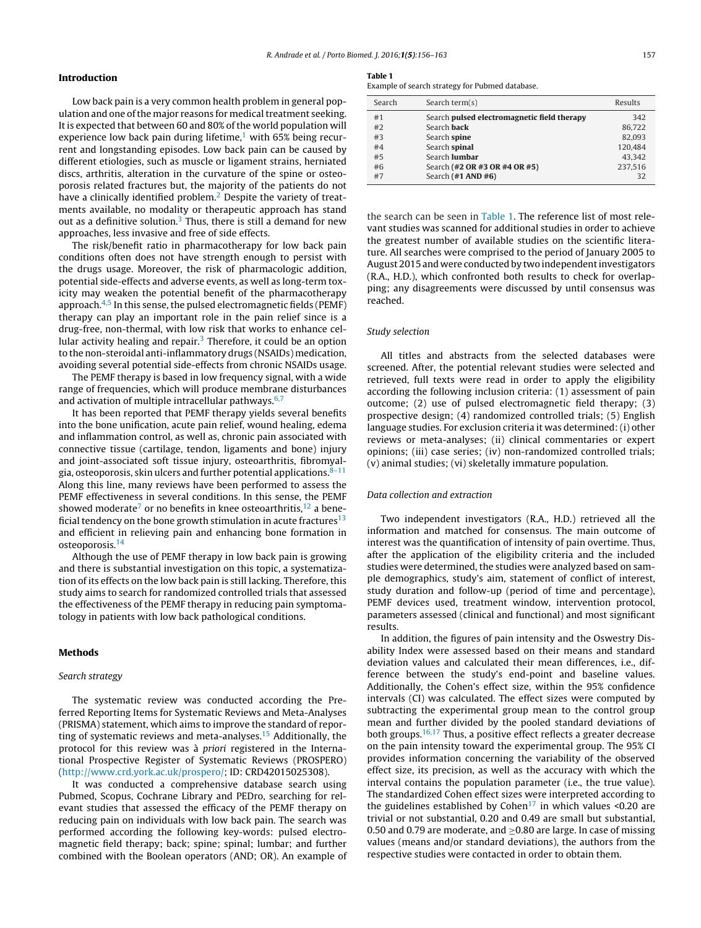# **Introduction**

Low back pain is a very common health problem in general population and one of the major reasons for medical treatment seeking. It is expected that between 60 and 80% of the world population will experience low back pain during lifetime,<sup>[1](#page-6-0)</sup> with 65% being recurrent and longstanding episodes. Low back pain can be caused by different etiologies, such as muscle or ligament strains, herniated discs, arthritis, alteration in the curvature of the spine or osteoporosis related fractures but, the majority of the patients do not have a clinically identified problem.<sup>[2](#page-6-0)</sup> Despite the variety of treatments available, no modality or therapeutic approach has stand out as a definitive solution.<sup>3</sup> Thus, there is still a demand for new approaches, less invasive and free of side effects.

The risk/benefit ratio in pharmacotherapy for low back pain conditions often does not have strength enough to persist with the drugs usage. Moreover, the risk of pharmacologic addition, potential side-effects and adverse events, as well as long-term toxicity may weaken the potential benefit of the pharmacotherapy approach. $4,5$  In this sense, the pulsed electromagnetic fields (PEMF) therapy can play an important role in the pain relief since is a drug-free, non-thermal, with low risk that works to enhance cellular activity healing and repair. $3$  Therefore, it could be an option to the non-steroidal anti-inflammatory drugs (NSAIDs) medication, avoiding several potential side-effects from chronic NSAIDs usage.

The PEMF therapy is based in low frequency signal, with a wide range of frequencies, which will produce membrane disturbances and activation of multiple intracellular pathways. $6,7$ 

It has been reported that PEMF therapy yields several benefits into the bone unification, acute pain relief, wound healing, edema and inflammation control, as well as, chronic pain associated with connective tissue (cartilage, tendon, ligaments and bone) injury and joint-associated soft tissue injury, osteoarthritis, fibromyalgia, osteoporosis, skin ulcers and further potential applications. $8-11$ Along this line, many reviews have been performed to assess the PEMF effectiveness in several conditions. In this sense, the PEMF showed moderate<sup>[7](#page-6-0)</sup> or no benefits in knee osteoarthritis,  $12$  a bene-ficial tendency on the bone growth stimulation in acute fractures<sup>[13](#page-6-0)</sup> and efficient in relieving pain and enhancing bone formation in osteoporosis.[14](#page-6-0)

Although the use of PEMF therapy in low back pain is growing and there is substantial investigation on this topic, a systematization of its effects on the low back pain is still lacking. Therefore, this study aims to search for randomized controlled trials that assessed the effectiveness of the PEMF therapy in reducing pain symptomatology in patients with low back pathological conditions.

# **Methods**

# Search strategy

The systematic review was conducted according the Preferred Reporting Items for Systematic Reviews and Meta-Analyses (PRISMA) statement, which aims to improve the standard of reporting of systematic reviews and meta-analyses.<sup>15</sup> Additionally, the protocol for this review was à priori registered in the International Prospective Register of Systematic Reviews (PROSPERO) (<http://www.crd.york.ac.uk/prospero/>; ID: CRD42015025308).

It was conducted a comprehensive database search using Pubmed, Scopus, Cochrane Library and PEDro, searching for relevant studies that assessed the efficacy of the PEMF therapy on reducing pain on individuals with low back pain. The search was performed according the following key-words: pulsed electromagnetic field therapy; back; spine; spinal; lumbar; and further combined with the Boolean operators (AND; OR). An example of

**Table 1**

Example of search strategy for Pubmed database.

| Search | Search term $(s)$                           | Results |
|--------|---------------------------------------------|---------|
| #1     | Search pulsed electromagnetic field therapy | 342     |
| #2     | Search <b>back</b>                          | 86.722  |
| #3     | Search spine                                | 82.093  |
| #4     | Search spinal                               | 120.484 |
| #5     | Search lumbar                               | 43.342  |
| #6     | Search (#2 OR #3 OR #4 OR #5)               | 237.516 |
| #7     | Search (#1 AND #6)                          | 32      |

the search can be seen in Table 1. The reference list of most relevant studies was scanned for additional studies in order to achieve the greatest number of available studies on the scientific literature. All searches were comprised to the period of January 2005 to August 2015 and were conducted by two independentinvestigators (R.A., H.D.), which confronted both results to check for overlapping; any disagreements were discussed by until consensus was reached.

#### Study selection

All titles and abstracts from the selected databases were screened. After, the potential relevant studies were selected and retrieved, full texts were read in order to apply the eligibility according the following inclusion criteria: (1) assessment of pain outcome; (2) use of pulsed electromagnetic field therapy; (3) prospective design; (4) randomized controlled trials; (5) English language studies. For exclusion criteria it was determined: (i) other reviews or meta-analyses; (ii) clinical commentaries or expert opinions; (iii) case series; (iv) non-randomized controlled trials; (v) animal studies; (vi) skeletally immature population.

#### Data collection and extraction

Two independent investigators (R.A., H.D.) retrieved all the information and matched for consensus. The main outcome of interest was the quantification of intensity of pain overtime. Thus, after the application of the eligibility criteria and the included studies were determined, the studies were analyzed based on sample demographics, study's aim, statement of conflict of interest, study duration and follow-up (period of time and percentage), PEMF devices used, treatment window, intervention protocol, parameters assessed (clinical and functional) and most significant results.

In addition, the figures of pain intensity and the Oswestry Disability Index were assessed based on their means and standard deviation values and calculated their mean differences, i.e., difference between the study's end-point and baseline values. Additionally, the Cohen's effect size, within the 95% confidence intervals (CI) was calculated. The effect sizes were computed by subtracting the experimental group mean to the control group mean and further divided by the pooled standard deviations of both groups.<sup>16,17</sup> Thus, a positive effect reflects a greater decrease on the pain intensity toward the experimental group. The 95% CI provides information concerning the variability of the observed effect size, its precision, as well as the accuracy with which the interval contains the population parameter (i.e., the true value). The standardized Cohen effect sizes were interpreted according to the guidelines established by Cohen<sup>[17](#page-6-0)</sup> in which values <0.20 are trivial or not substantial, 0.20 and 0.49 are small but substantial, 0.50 and 0.79 are moderate, and ≥0.80 are large. In case of missing values (means and/or standard deviations), the authors from the respective studies were contacted in order to obtain them.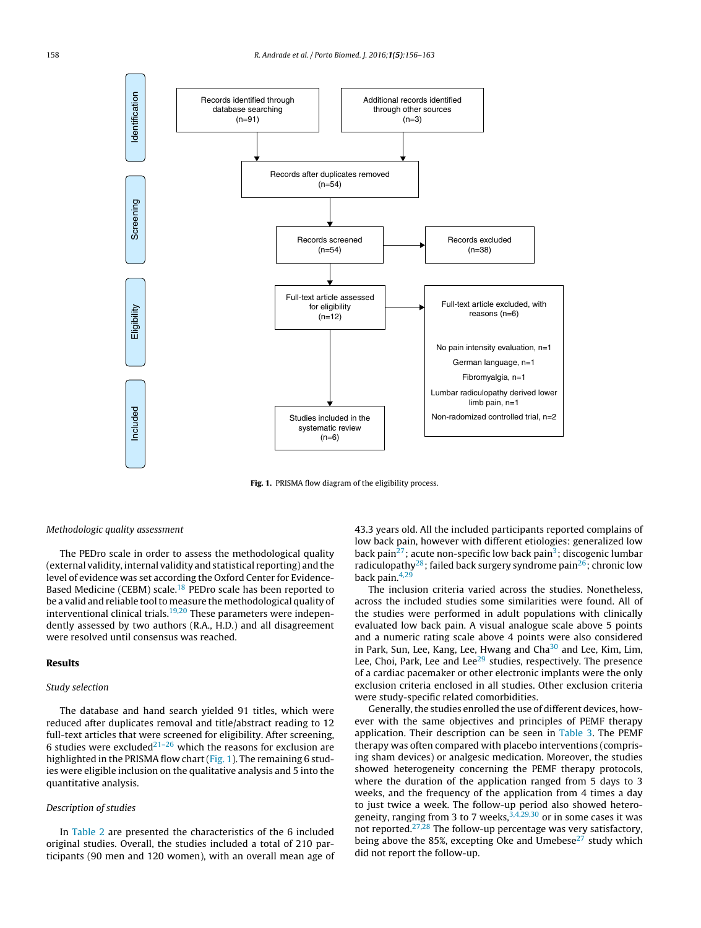

**Fig. 1.** PRISMA flow diagram of the eligibility process.

# Methodologic quality assessment

The PEDro scale in order to assess the methodological quality (external validity, internal validity and statistical reporting) and the level of evidence was set according the Oxford Center for Evidence-Based Medicine (CEBM) scale[.18](#page-6-0) PEDro scale has been reported to be a valid and reliable tool to measure the methodological quality of interventional clinical trials.<sup>19,20</sup> These parameters were independently assessed by two authors (R.A., H.D.) and all disagreement were resolved until consensus was reached.

# **Results**

# Study selection

The database and hand search yielded 91 titles, which were reduced after duplicates removal and title/abstract reading to 12 full-text articles that were screened for eligibility. After screening, 6 studies were excluded<sup>21-26</sup> which the reasons for exclusion are highlighted in the PRISMA flow chart (Fig. 1). The remaining 6 studies were eligible inclusion on the qualitative analysis and 5 into the quantitative analysis.

# Description of studies

In [Table](#page-3-0) 2 are presented the characteristics of the 6 included original studies. Overall, the studies included a total of 210 participants (90 men and 120 women), with an overall mean age of 43.3 years old. All the included participants reported complains of low back pain, however with different etiologies: generalized low back pain<sup>27</sup>; acute non-specific low back pain<sup>3</sup>; discogenic lumbar radiculopathy<sup>28</sup>; failed back surgery syndrome pain<sup>26</sup>; chronic low back pain.<sup>[4,29](#page-6-0)</sup>

The inclusion criteria varied across the studies. Nonetheless, across the included studies some similarities were found. All of the studies were performed in adult populations with clinically evaluated low back pain. A visual analogue scale above 5 points and a numeric rating scale above 4 points were also considered in Park, Sun, Lee, Kang, Lee, Hwang and Cha $30$  and Lee, Kim, Lim, Lee, Choi, Park, Lee and Lee<sup>29</sup> studies, respectively. The presence of a cardiac pacemaker or other electronic implants were the only exclusion criteria enclosed in all studies. Other exclusion criteria were study-specific related comorbidities.

Generally, the studies enrolled the use of different devices, however with the same objectives and principles of PEMF therapy application. Their description can be seen in [Table](#page-4-0) 3. The PEMF therapy was often compared with placebo interventions (comprising sham devices) or analgesic medication. Moreover, the studies showed heterogeneity concerning the PEMF therapy protocols, where the duration of the application ranged from 5 days to 3 weeks, and the frequency of the application from 4 times a day to just twice a week. The follow-up period also showed heterogeneity, ranging from 3 to 7 weeks,  $3,4,29,30$  or in some cases it was not reported.[27,28](#page-6-0) The follow-up percentage was very satisfactory, being above the 85%, excepting Oke and Umebese $27$  study which did not report the follow-up.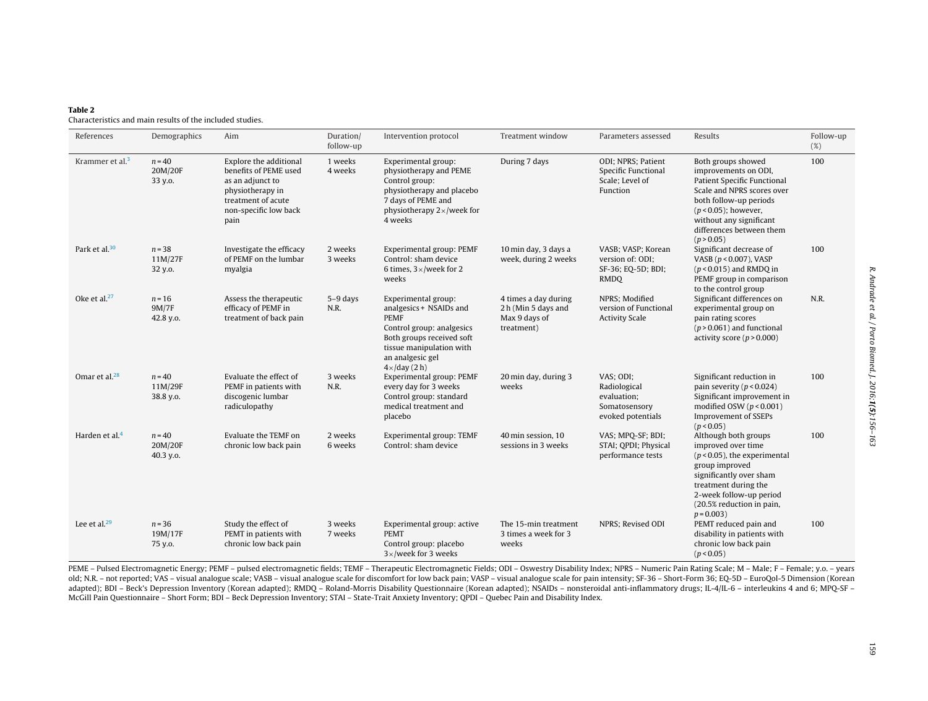# <span id="page-3-0"></span>**Table 2**

Characteristics and main results of the included studies.

| References                  | Demographics                     | Aim                                                                                                                                            | Duration/<br>follow-up | Intervention protocol                                                                                                                                                                            | Treatment window                                                           | Parameters assessed                                                            | Results                                                                                                                                                                                                                           | Follow-up<br>(%) |
|-----------------------------|----------------------------------|------------------------------------------------------------------------------------------------------------------------------------------------|------------------------|--------------------------------------------------------------------------------------------------------------------------------------------------------------------------------------------------|----------------------------------------------------------------------------|--------------------------------------------------------------------------------|-----------------------------------------------------------------------------------------------------------------------------------------------------------------------------------------------------------------------------------|------------------|
| Krammer et al. <sup>3</sup> | $n = 40$<br>20M/20F<br>33 y.o.   | Explore the additional<br>benefits of PEME used<br>as an adjunct to<br>physiotherapy in<br>treatment of acute<br>non-specific low back<br>pain | 1 weeks<br>4 weeks     | Experimental group:<br>physiotherapy and PEME<br>Control group:<br>physiotherapy and placebo<br>7 days of PEME and<br>physiotherapy $2 \times$ /week for<br>4 weeks                              | During 7 days                                                              | ODI; NPRS; Patient<br>Specific Functional<br>Scale; Level of<br>Function       | Both groups showed<br>improvements on ODI,<br>Patient Specific Functional<br>Scale and NPRS scores over<br>both follow-up periods<br>$(p < 0.05)$ ; however,<br>without any significant<br>differences between them<br>(p > 0.05) | 100              |
| Park et al. <sup>30</sup>   | $n = 38$<br>11M/27F<br>32 y.o.   | Investigate the efficacy<br>of PEMF on the lumbar<br>myalgia                                                                                   | 2 weeks<br>3 weeks     | Experimental group: PEMF<br>Control: sham device<br>6 times, $3 \times$ /week for 2<br>weeks                                                                                                     | 10 min day, 3 days a<br>week, during 2 weeks                               | VASB; VASP; Korean<br>version of: ODI:<br>SF-36; EQ-5D; BDI;<br><b>RMDQ</b>    | Significant decrease of<br>VASB ( $p$ < 0.007), VASP<br>$(p < 0.015)$ and RMDQ in<br>PEMF group in comparison<br>to the control group                                                                                             | 100              |
| Oke et al. $^{27}$          | $n = 16$<br>9M/7F<br>42.8 y.o.   | Assess the therapeutic<br>efficacy of PEMF in<br>treatment of back pain                                                                        | $5-9$ days<br>N.R.     | Experimental group:<br>analgesics + NSAIDs and<br><b>PEMF</b><br>Control group: analgesics<br>Both groups received soft<br>tissue manipulation with<br>an analgesic gel<br>$4 \times$ /day (2 h) | 4 times a day during<br>2 h (Min 5 days and<br>Max 9 days of<br>treatment) | NPRS; Modified<br>version of Functional<br><b>Activity Scale</b>               | Significant differences on<br>experimental group on<br>pain rating scores<br>$(p > 0.061)$ and functional<br>activity score $(p > 0.000)$                                                                                         | N.R.             |
| Omar et al. <sup>28</sup>   | $n = 40$<br>11M/29F<br>38.8 y.o. | Evaluate the effect of<br>PEMF in patients with<br>discogenic lumbar<br>radiculopathy                                                          | 3 weeks<br>N.R.        | Experimental group: PEMF<br>every day for 3 weeks<br>Control group: standard<br>medical treatment and<br>placebo                                                                                 | 20 min day, during 3<br>weeks                                              | VAS; ODI;<br>Radiological<br>evaluation;<br>Somatosensory<br>evoked potentials | Significant reduction in<br>pain severity ( $p < 0.024$ )<br>Significant improvement in<br>modified OSW ( $p < 0.001$ )<br>Improvement of SSEPs<br>(p < 0.05)                                                                     | 100              |
| Harden et al. <sup>4</sup>  | $n = 40$<br>20M/20F<br>40.3 y.o. | Evaluate the TEMF on<br>chronic low back pain                                                                                                  | 2 weeks<br>6 weeks     | Experimental group: TEMF<br>Control: sham device                                                                                                                                                 | 40 min session, 10<br>sessions in 3 weeks                                  | VAS; MPQ-SF; BDI;<br>STAI; QPDI; Physical<br>performance tests                 | Although both groups<br>improved over time<br>$(p < 0.05)$ , the experimental<br>group improved<br>significantly over sham<br>treatment during the<br>2-week follow-up period<br>(20.5% reduction in pain,<br>$p = 0.003$ )       | 100              |
| Lee et al. $29$             | $n = 36$<br>19M/17F<br>75 y.o.   | Study the effect of<br>PEMT in patients with<br>chronic low back pain                                                                          | 3 weeks<br>7 weeks     | Experimental group: active<br><b>PEMT</b><br>Control group: placebo<br>$3 \times$ /week for 3 weeks                                                                                              | The 15-min treatment<br>3 times a week for 3<br>weeks                      | NPRS; Revised ODI                                                              | PEMT reduced pain and<br>disability in patients with<br>chronic low back pain<br>(p < 0.05)                                                                                                                                       | 100              |

PEME – Pulsed Electromagnetic Energy; PEMF – pulsed electromagnetic fields; TEMF – Therapeutic Electromagnetic Fields; ODI – Oswestry Disability Index; NPRS – Numeric Pain Rating Scale; M – Male; F – Female; y.o. – years old; N.R. - not reported; VAS - visual analogue scale; VASB - visual analogue scale for discomfort for low back pain; VASP - visual analogue scale for pain intensity; SF-36 - Short-Form 36; EQ-5D - EuroQol-5 Dimension (Kor adapted); BDI – Beck's Depression Inventory (Korean adapted); RMDQ – Roland-Morris Disability Questionnaire (Korean adapted); NSAIDs – nonsteroidal anti-inflammatory drugs; IL-4/IL-6 – interleukins 4 and 6; MPQ-SF – McGill Pain Questionnaire – Short Form; BDI – Beck Depression Inventory; STAI – State-Trait Anxiety Inventory; QPDI – Quebec Pain and Disability Index.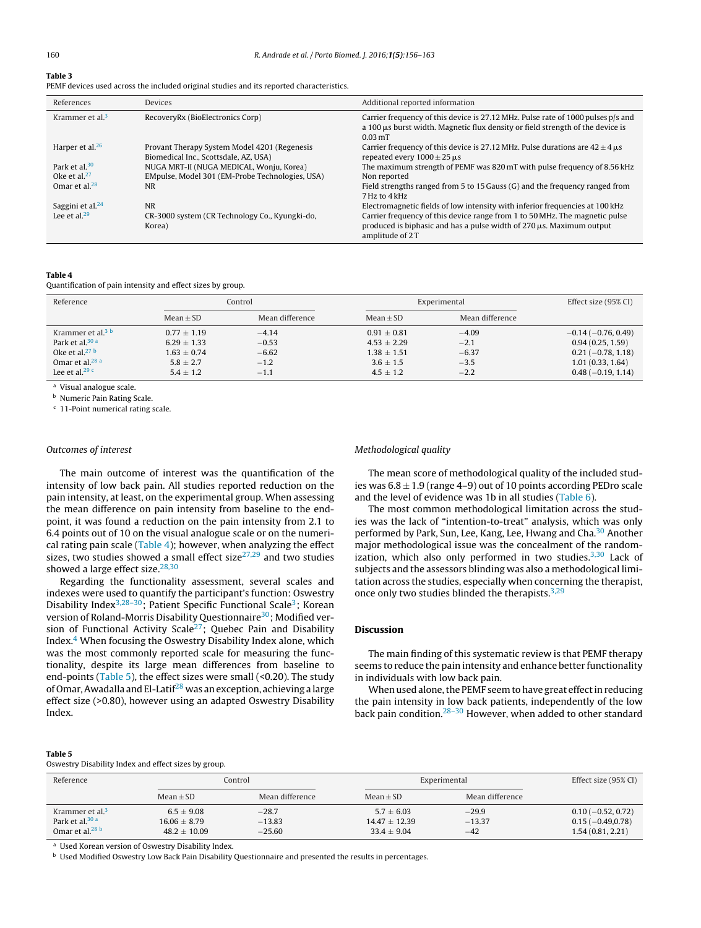# <span id="page-4-0"></span>**Table 3**

PEMF devices used across the included original studies and its reported characteristics.

| References                   | <b>Devices</b>                                                                        | Additional reported information                                                                                                                                                                 |
|------------------------------|---------------------------------------------------------------------------------------|-------------------------------------------------------------------------------------------------------------------------------------------------------------------------------------------------|
| Krammer et al. $3$           | RecoveryRx (BioElectronics Corp)                                                      | Carrier frequency of this device is 27.12 MHz. Pulse rate of 1000 pulses p/s and<br>a 100 $\mu$ s burst width. Magnetic flux density or field strength of the device is<br>$0.03 \,\mathrm{mT}$ |
| Harper et al. $26$           | Provant Therapy System Model 4201 (Regenesis<br>Biomedical Inc., Scottsdale, AZ, USA) | Carrier frequency of this device is 27.12 MHz. Pulse durations are $42 \pm 4 \,\mu s$<br>repeated every $1000 \pm 25 \,\mu s$                                                                   |
| Park et al. <sup>30</sup>    | NUGA MRT-II (NUGA MEDICAL, Wonju, Korea)                                              | The maximum strength of PEMF was 820 mT with pulse frequency of 8.56 kHz                                                                                                                        |
| Oke et al. $27$              | EMpulse, Model 301 (EM-Probe Technologies, USA)                                       | Non reported                                                                                                                                                                                    |
| Omar et al. <sup>28</sup>    | <b>NR</b>                                                                             | Field strengths ranged from 5 to 15 Gauss (G) and the frequency ranged from<br>7 Hz to 4 kHz                                                                                                    |
| Saggini et al. <sup>24</sup> | <b>NR</b>                                                                             | Electromagnetic fields of low intensity with inferior frequencies at 100 kHz                                                                                                                    |
| Lee et al. $29$              | CR-3000 system (CR Technology Co., Kyungki-do,<br>Korea)                              | Carrier frequency of this device range from 1 to 50 MHz. The magnetic pulse<br>produced is biphasic and has a pulse width of 270 $\mu$ s. Maximum output<br>amplitude of 2T                     |

#### **Table 4**

Quantification of pain intensity and effect sizes by group.

| Reference                     |               | Control         | Experimental    | Effect size (95% CI) |                      |
|-------------------------------|---------------|-----------------|-----------------|----------------------|----------------------|
|                               | $Mean + SD$   | Mean difference | $Mean + SD$     | Mean difference      |                      |
| Krammer et al. <sup>3 b</sup> | $0.77 + 1.19$ | $-4.14$         | $0.91 \pm 0.81$ | $-4.09$              | $-0.14(-0.76, 0.49)$ |
| Park et al. <sup>30 a</sup>   | $6.29 + 1.33$ | $-0.53$         | $4.53 + 2.29$   | $-2.1$               | 0.94(0.25, 1.59)     |
| Oke et al. $^{27}$ b          | $1.63 + 0.74$ | $-6.62$         | $1.38 + 1.51$   | $-6.37$              | $0.21(-0.78, 1.18)$  |
| Omar et al. <sup>28 a</sup>   | $5.8 \pm 2.7$ | $-1.2$          | $3.6 \pm 1.5$   | $-3.5$               | 1.01(0.33, 1.64)     |
| Lee et al. $29 c$             | $5.4 + 1.2$   | $-1.1$          | $4.5 + 1.2$     | $-2.2$               | $0.48(-0.19, 1.14)$  |

<sup>a</sup> Visual analogue scale.

**b** Numeric Pain Rating Scale.

<sup>c</sup> 11-Point numerical rating scale.

# Outcomes of interest

The main outcome of interest was the quantification of the intensity of low back pain. All studies reported reduction on the pain intensity, at least, on the experimental group. When assessing the mean difference on pain intensity from baseline to the endpoint, it was found a reduction on the pain intensity from 2.1 to 6.4 points out of 10 on the visual analogue scale or on the numerical rating pain scale ( $Table 4$ ); however, when analyzing the effect sizes, two studies showed a small effect size $27,29$  and two studies showed a large effect size.<sup>28,30</sup>

Regarding the functionality assessment, several scales and indexes were used to quantify the participant's function: Oswestry Disability Index<sup>3,28–30</sup>; Patient Specific Functional Scale<sup>3</sup>; Korean version of Roland-Morris Disability Questionnaire<sup>30</sup>; Modified version of Functional Activity Scale $27$ ; Quebec Pain and Disability Index[.4](#page-6-0) When focusing the Oswestry Disability Index alone, which was the most commonly reported scale for measuring the functionality, despite its large mean differences from baseline to end-points (Table 5), the effect sizes were small (<0.20). The study of Omar, Awadalla and El-Latif $^{28}$  $^{28}$  $^{28}$  was an exception, achieving a large effect size (>0.80), however using an adapted Oswestry Disability Index.

## Methodological quality

The mean score of methodological quality of the included studies was  $6.8 \pm 1.9$  (range 4–9) out of 10 points according PEDro scale and the level of evidence was 1b in all studies [\(Table](#page-5-0) 6).

The most common methodological limitation across the studies was the lack of "intention-to-treat" analysis, which was only performed by Park, Sun, Lee, Kang, Lee, Hwang and Cha.<sup>30</sup> Another major methodological issue was the concealment of the randomization, which also only performed in two studies. $3,30$  Lack of subjects and the assessors blinding was also a methodological limitation across the studies, especially when concerning the therapist, once only two studies blinded the therapists. $3,29$ 

# **Discussion**

The main finding of this systematic review is that PEMF therapy seems to reduce the pain intensity and enhance better functionality in individuals with low back pain.

When used alone, the PEMF seem to have great effect in reducing the pain intensity in low back patients, independently of the low back pain condition.<sup>28-30</sup> However, when added to other standard

## **Table 5**

Oswestry Disability Index and effect sizes by group.

| Reference                   |                | Control         |                 | Experimental    | Effect size (95% CI) |
|-----------------------------|----------------|-----------------|-----------------|-----------------|----------------------|
|                             | $Mean + SD$    | Mean difference | $Mean + SD$     | Mean difference |                      |
| Krammer et al. <sup>3</sup> | $6.5 \pm 9.08$ | $-28.7$         | $5.7 \pm 6.03$  | $-29.9$         | $0.10 (-0.52, 0.72)$ |
| Park et al. <sup>30 a</sup> | $16.06 + 8.79$ | $-13.83$        | $14.47 + 12.39$ | $-13.37$        | $0.15(-0.49,0.78)$   |
| Omar et al. <sup>28 b</sup> | $48.2 + 10.09$ | $-25.60$        | $33.4 + 9.04$   | $-42$           | 1.54(0.81, 2.21)     |

<sup>a</sup> Used Korean version of Oswestry Disability Index.

**b** Used Modified Oswestry Low Back Pain Disability Questionnaire and presented the results in percentages.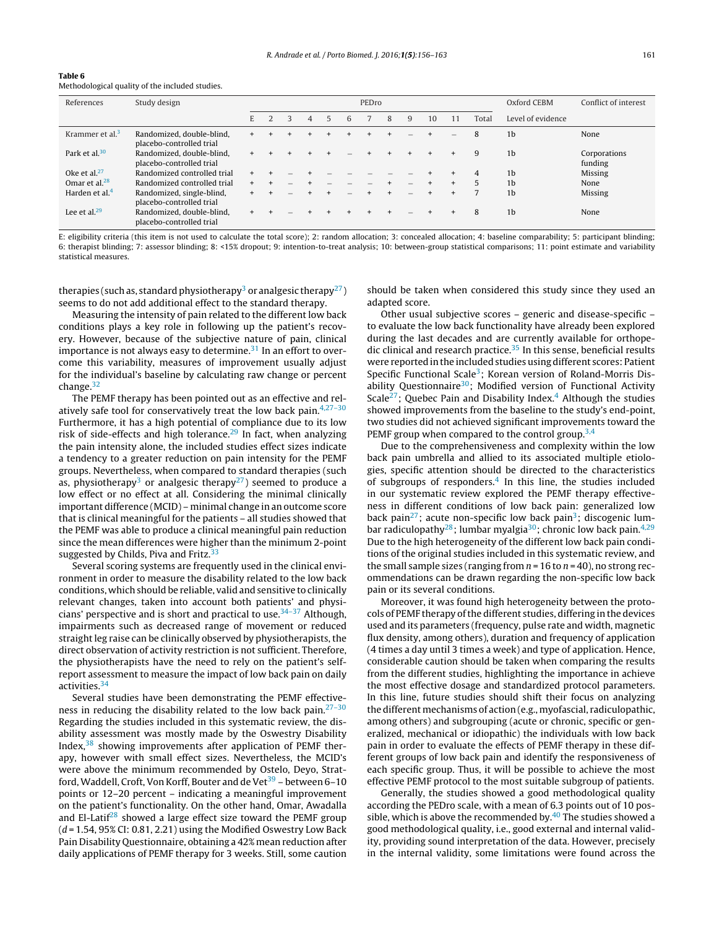<span id="page-5-0"></span>

| Table 6                                         |  |  |
|-------------------------------------------------|--|--|
| Methodological quality of the included studies. |  |  |

| References                  | Study design                                          | PEDro |  |  |   |  |   |  |              |   |        | Oxford CEBM | Conflict of interest |                   |                         |
|-----------------------------|-------------------------------------------------------|-------|--|--|---|--|---|--|--------------|---|--------|-------------|----------------------|-------------------|-------------------------|
|                             |                                                       | E.    |  |  | 4 |  | 6 |  | $\mathbf{8}$ | q | 10     |             | Total                | Level of evidence |                         |
| Krammer et al. <sup>3</sup> | Randomized, double-blind,<br>placebo-controlled trial | $+$   |  |  |   |  |   |  |              |   | $^{+}$ | -           | 8                    | 1 <sub>b</sub>    | None                    |
| Park et al. <sup>30</sup>   | Randomized, double-blind,<br>placebo-controlled trial |       |  |  |   |  |   |  |              |   |        | $+$         | 9                    | 1 <sub>b</sub>    | Corporations<br>funding |
| Oke et al. $27$             | Randomized controlled trial                           | $+$   |  |  |   |  |   |  |              |   |        | $+$         | $\overline{4}$       | 1 <sub>b</sub>    | <b>Missing</b>          |
| Omar et al. <sup>28</sup>   | Randomized controlled trial                           | $+$   |  |  |   |  |   |  |              |   | $+$    | $+$         | 5                    | 1 <sub>b</sub>    | None                    |
| Harden et al. <sup>4</sup>  | Randomized, single-blind,                             | $+$   |  |  |   |  |   |  |              |   |        | $+$         |                      | 1 <sub>b</sub>    | <b>Missing</b>          |
|                             | placebo-controlled trial                              |       |  |  |   |  |   |  |              |   |        |             |                      |                   |                         |
| Lee et al. $^{29}$          | Randomized, double-blind,<br>placebo-controlled trial | $+$   |  |  |   |  |   |  |              |   | $+$    | $+$         | 8                    | 1 <sub>b</sub>    | None                    |

E: eligibility criteria (this item is not used to calculate the total score); 2: random allocation; 3: concealed allocation; 4: baseline comparability; 5: participant blinding; 6: therapist blinding; 7: assessor blinding; 8: <15% dropout; 9: intention-to-treat analysis; 10: between-group statistical comparisons; 11: point estimate and variability statistical measures.

therapies (such as, standard physi[o](#page-6-0)therapy<sup>3</sup> or analgesic therapy<sup>27</sup>) seems to do not add additional effect to the standard therapy.

Measuring the intensity of pain related to the different low back conditions plays a key role in following up the patient's recovery. However, because of the subjective nature of pain, clinical importance is not always easy to determine. $31$  In an effort to overcome this variability, measures of improvement usually adjust for the individual's baseline by calculating raw change or percent change. $32$ 

The PEMF therapy has been pointed out as an effective and relatively safe tool for conservatively treat the low back pain. $4,27-30$ Furthermore, it has a high potential of compliance due to its low risk of side-effects and high tolerance[.29](#page-6-0) In fact, when analyzing the pain intensity alone, the included studies effect sizes indicate a tendency to a greater reduction on pain intensity for the PEMF groups. Nevertheless, when compared to standard therapies (such as, physiotherapy<sup>[3](#page-6-0)</sup> or analgesic therapy<sup>27</sup>) seemed to produce a low effect or no effect at all. Considering the minimal clinically important difference (MCID) – minimal change in an outcome score that is clinical meaningful for the patients – all studies showed that the PEMF was able to produce a clinical meaningful pain reduction since the mean differences were higher than the minimum 2-point suggested by Childs, Piva and Fritz. $33$ 

Several scoring systems are frequently used in the clinical environment in order to measure the disability related to the low back conditions, which should be reliable, valid and sensitive to clinically relevant changes, taken into account both patients' and physicians' perspective and is short and practical to use[.34–37](#page-7-0) Although, impairments such as decreased range of movement or reduced straight leg raise can be clinically observed by physiotherapists, the direct observation of activity restriction is not sufficient. Therefore, the physiotherapists have the need to rely on the patient's selfreport assessment to measure the impact of low back pain on daily activities[.34](#page-7-0)

Several studies have been demonstrating the PEMF effectiveness in reducing the disability related to the low back pain. $27-30$ Regarding the studies included in this systematic review, the disability assessment was mostly made by the Oswestry Disability Index,<sup>38</sup> showing improvements after application of PEMF therapy, however with small effect sizes. Nevertheless, the MCID's were above the minimum recommended by Ostelo, Deyo, Stratford, Waddell, Croft, Von Korff, Bouter and de Vet $39$  – between 6–10 points or 12–20 percent – indicating a meaningful improvement on the patient's functionality. On the other hand, Omar, Awadalla and El-Latif<sup>28</sup> showed a large effect size toward the PEMF group  $(d = 1.54, 95\%$  CI: 0.81, 2.21) using the Modified Oswestry Low Back Pain Disability Questionnaire, obtaining a 42% mean reduction after daily applications of PEMF therapy for 3 weeks. Still, some caution should be taken when considered this study since they used an adapted score.

Other usual subjective scores – generic and disease-specific – to evaluate the low back functionality have already been explored during the last decades and are currently available for orthopedic clinical and research practice.<sup>35</sup> In this sense, beneficial results were reported in the included studies using different scores: Patient Specific Functional Scale<sup>3</sup>; Korean version of Roland-Morris Disability Questionnaire $30$ ; Modified version of Functional Activity Scale<sup>27</sup>; Quebec Pain and Disability Index.<sup>[4](#page-6-0)</sup> Although the studies showed improvements from the baseline to the study's end-point, two studies did not achieved significant improvements toward the PEMF group when compared to the control group.  $3,4$ 

Due to the comprehensiveness and complexity within the low back pain umbrella and allied to its associated multiple etiologies, specific attention should be directed to the characteristics of subgroups of responders. $4$  In this line, the studies included in our systematic review explored the PEMF therapy effectiveness in different conditions of low back pain: generalized low back pain<sup>27</sup>; acute non-specific low back pain<sup>3</sup>; discogenic lumbar radiculopathy<sup>28</sup>; lumbar myalgia<sup>30</sup>; chronic low back pain.<sup>4,29</sup> Due to the high heterogeneity of the different low back pain conditions of the original studies included in this systematic review, and the small sample sizes (ranging from  $n = 16$  to  $n = 40$ ), no strong recommendations can be drawn regarding the non-specific low back pain or its several conditions.

Moreover, it was found high heterogeneity between the protocols of PEMF therapy ofthe different studies, differing in the devices used and its parameters (frequency, pulse rate and width, magnetic flux density, among others), duration and frequency of application (4 times a day until 3 times a week) and type of application. Hence, considerable caution should be taken when comparing the results from the different studies, highlighting the importance in achieve the most effective dosage and standardized protocol parameters. In this line, future studies should shift their focus on analyzing the different mechanisms of action (e.g., myofascial, radiculopathic, among others) and subgrouping (acute or chronic, specific or generalized, mechanical or idiopathic) the individuals with low back pain in order to evaluate the effects of PEMF therapy in these different groups of low back pain and identify the responsiveness of each specific group. Thus, it will be possible to achieve the most effective PEMF protocol to the most suitable subgroup of patients.

Generally, the studies showed a good methodological quality according the PEDro scale, with a mean of 6.3 points out of 10 possible, which is above the recommended by, $40$  The studies showed a good methodological quality, i.e., good external and internal validity, providing sound interpretation of the data. However, precisely in the internal validity, some limitations were found across the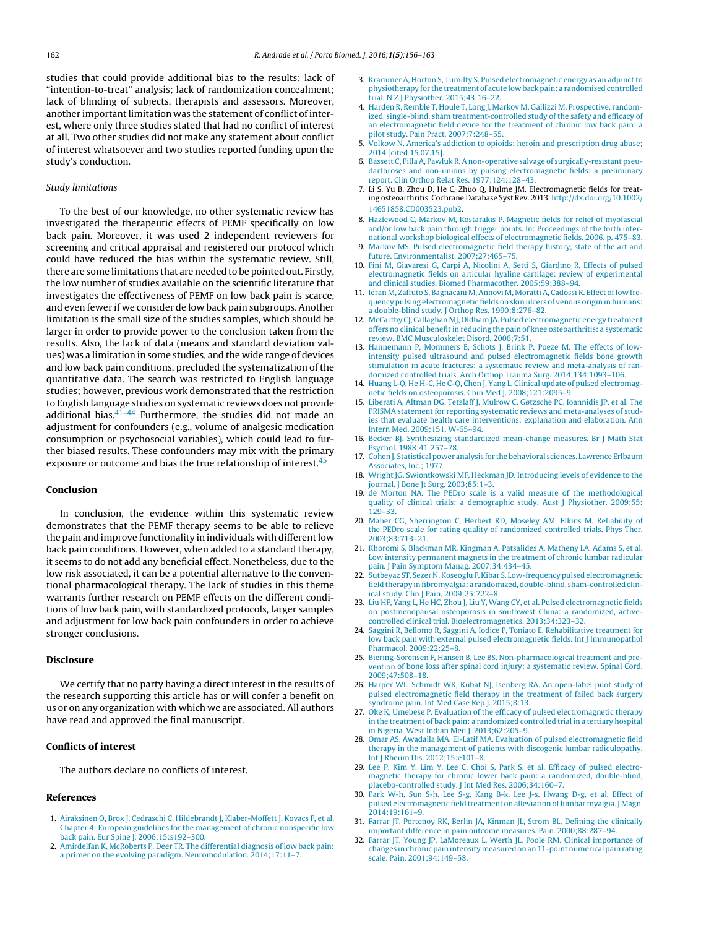<span id="page-6-0"></span>studies that could provide additional bias to the results: lack of "intention-to-treat" analysis; lack of randomization concealment; lack of blinding of subjects, therapists and assessors. Moreover, another important limitation was the statement of conflict of interest, where only three studies stated that had no conflict of interest at all. Two other studies did not make any statement about conflict of interest whatsoever and two studies reported funding upon the study's conduction.

# Study limitations

To the best of our knowledge, no other systematic review has investigated the therapeutic effects of PEMF specifically on low back pain. Moreover, it was used 2 independent reviewers for screening and critical appraisal and registered our protocol which could have reduced the bias within the systematic review. Still, there are some limitations that are needed to be pointed out. Firstly, the low number of studies available on the scientific literature that investigates the effectiveness of PEMF on low back pain is scarce, and even fewer if we consider de low back pain subgroups. Another limitation is the small size of the studies samples, which should be larger in order to provide power to the conclusion taken from the results. Also, the lack of data (means and standard deviation values) was a limitation in some studies, and the wide range of devices and low back pain conditions, precluded the systematization of the quantitative data. The search was restricted to English language studies; however, previous work demonstrated that the restriction to English language studies on systematic reviews does not provide additional bias. $41-44$  Furthermore, the studies did not made an adjustment for confounders (e.g., volume of analgesic medication consumption or psychosocial variables), which could lead to further biased results. These confounders may mix with the primary exposure or outcome and bias the true relationship of interest.<sup>[45](#page-7-0)</sup>

# **Conclusion**

In conclusion, the evidence within this systematic review demonstrates that the PEMF therapy seems to be able to relieve the pain and improve functionality in individuals with different low back pain conditions. However, when added to a standard therapy, it seems to do not add any beneficial effect. Nonetheless, due to the low risk associated, it can be a potential alternative to the conventional pharmacological therapy. The lack of studies in this theme warrants further research on PEMF effects on the different conditions of low back pain, with standardized protocols, larger samples and adjustment for low back pain confounders in order to achieve stronger conclusions.

# **Disclosure**

We certify that no party having a direct interest in the results of the research supporting this article has or will confer a benefit on us or on any organization with which we are associated. All authors have read and approved the final manuscript.

# **Conflicts of interest**

The authors declare no conflicts of interest.

# **References**

- 1. [Airaksinen](http://refhub.elsevier.com/S2444-8664(16)30051-4/sbref0230) [O,](http://refhub.elsevier.com/S2444-8664(16)30051-4/sbref0230) [Brox](http://refhub.elsevier.com/S2444-8664(16)30051-4/sbref0230) [J,](http://refhub.elsevier.com/S2444-8664(16)30051-4/sbref0230) [Cedraschi](http://refhub.elsevier.com/S2444-8664(16)30051-4/sbref0230) [C,](http://refhub.elsevier.com/S2444-8664(16)30051-4/sbref0230) [Hildebrandt](http://refhub.elsevier.com/S2444-8664(16)30051-4/sbref0230) [J,](http://refhub.elsevier.com/S2444-8664(16)30051-4/sbref0230) [Klaber-Moffett](http://refhub.elsevier.com/S2444-8664(16)30051-4/sbref0230) [J,](http://refhub.elsevier.com/S2444-8664(16)30051-4/sbref0230) [Kovacs](http://refhub.elsevier.com/S2444-8664(16)30051-4/sbref0230) [F,](http://refhub.elsevier.com/S2444-8664(16)30051-4/sbref0230) [et](http://refhub.elsevier.com/S2444-8664(16)30051-4/sbref0230) [al.](http://refhub.elsevier.com/S2444-8664(16)30051-4/sbref0230) [Chapter](http://refhub.elsevier.com/S2444-8664(16)30051-4/sbref0230) [4:](http://refhub.elsevier.com/S2444-8664(16)30051-4/sbref0230) [European](http://refhub.elsevier.com/S2444-8664(16)30051-4/sbref0230) [guidelines](http://refhub.elsevier.com/S2444-8664(16)30051-4/sbref0230) [for](http://refhub.elsevier.com/S2444-8664(16)30051-4/sbref0230) [the](http://refhub.elsevier.com/S2444-8664(16)30051-4/sbref0230) [management](http://refhub.elsevier.com/S2444-8664(16)30051-4/sbref0230) [of](http://refhub.elsevier.com/S2444-8664(16)30051-4/sbref0230) [chronic](http://refhub.elsevier.com/S2444-8664(16)30051-4/sbref0230) [nonspecific](http://refhub.elsevier.com/S2444-8664(16)30051-4/sbref0230) [low](http://refhub.elsevier.com/S2444-8664(16)30051-4/sbref0230) [back](http://refhub.elsevier.com/S2444-8664(16)30051-4/sbref0230) [pain.](http://refhub.elsevier.com/S2444-8664(16)30051-4/sbref0230) [Eur](http://refhub.elsevier.com/S2444-8664(16)30051-4/sbref0230) [Spine](http://refhub.elsevier.com/S2444-8664(16)30051-4/sbref0230) [J.](http://refhub.elsevier.com/S2444-8664(16)30051-4/sbref0230) [2006;15:s192–300.](http://refhub.elsevier.com/S2444-8664(16)30051-4/sbref0230)
- 2. [Amirdelfan](http://refhub.elsevier.com/S2444-8664(16)30051-4/sbref0235) [K,](http://refhub.elsevier.com/S2444-8664(16)30051-4/sbref0235) [McRoberts](http://refhub.elsevier.com/S2444-8664(16)30051-4/sbref0235) [P,](http://refhub.elsevier.com/S2444-8664(16)30051-4/sbref0235) [Deer](http://refhub.elsevier.com/S2444-8664(16)30051-4/sbref0235) [TR.](http://refhub.elsevier.com/S2444-8664(16)30051-4/sbref0235) [The](http://refhub.elsevier.com/S2444-8664(16)30051-4/sbref0235) [differential](http://refhub.elsevier.com/S2444-8664(16)30051-4/sbref0235) [diagnosis](http://refhub.elsevier.com/S2444-8664(16)30051-4/sbref0235) [of](http://refhub.elsevier.com/S2444-8664(16)30051-4/sbref0235) [low](http://refhub.elsevier.com/S2444-8664(16)30051-4/sbref0235) [back](http://refhub.elsevier.com/S2444-8664(16)30051-4/sbref0235) [pain:](http://refhub.elsevier.com/S2444-8664(16)30051-4/sbref0235) [a](http://refhub.elsevier.com/S2444-8664(16)30051-4/sbref0235) [primer](http://refhub.elsevier.com/S2444-8664(16)30051-4/sbref0235) [on](http://refhub.elsevier.com/S2444-8664(16)30051-4/sbref0235) [the](http://refhub.elsevier.com/S2444-8664(16)30051-4/sbref0235) [evolving](http://refhub.elsevier.com/S2444-8664(16)30051-4/sbref0235) [paradigm.](http://refhub.elsevier.com/S2444-8664(16)30051-4/sbref0235) [Neuromodulation.](http://refhub.elsevier.com/S2444-8664(16)30051-4/sbref0235) [2014;17:11–7.](http://refhub.elsevier.com/S2444-8664(16)30051-4/sbref0235)
- 3. [Krammer](http://refhub.elsevier.com/S2444-8664(16)30051-4/sbref0240) [A,](http://refhub.elsevier.com/S2444-8664(16)30051-4/sbref0240) [Horton](http://refhub.elsevier.com/S2444-8664(16)30051-4/sbref0240) [S,](http://refhub.elsevier.com/S2444-8664(16)30051-4/sbref0240) [Tumilty](http://refhub.elsevier.com/S2444-8664(16)30051-4/sbref0240) [S.](http://refhub.elsevier.com/S2444-8664(16)30051-4/sbref0240) [Pulsed](http://refhub.elsevier.com/S2444-8664(16)30051-4/sbref0240) [electromagnetic](http://refhub.elsevier.com/S2444-8664(16)30051-4/sbref0240) [energy](http://refhub.elsevier.com/S2444-8664(16)30051-4/sbref0240) [as](http://refhub.elsevier.com/S2444-8664(16)30051-4/sbref0240) [an](http://refhub.elsevier.com/S2444-8664(16)30051-4/sbref0240) [adjunct](http://refhub.elsevier.com/S2444-8664(16)30051-4/sbref0240) [to](http://refhub.elsevier.com/S2444-8664(16)30051-4/sbref0240) [physiotherapy](http://refhub.elsevier.com/S2444-8664(16)30051-4/sbref0240) [for](http://refhub.elsevier.com/S2444-8664(16)30051-4/sbref0240) [the](http://refhub.elsevier.com/S2444-8664(16)30051-4/sbref0240) [treatment](http://refhub.elsevier.com/S2444-8664(16)30051-4/sbref0240) [of](http://refhub.elsevier.com/S2444-8664(16)30051-4/sbref0240) [acute](http://refhub.elsevier.com/S2444-8664(16)30051-4/sbref0240) [low](http://refhub.elsevier.com/S2444-8664(16)30051-4/sbref0240) [back](http://refhub.elsevier.com/S2444-8664(16)30051-4/sbref0240) [pain:](http://refhub.elsevier.com/S2444-8664(16)30051-4/sbref0240) [a](http://refhub.elsevier.com/S2444-8664(16)30051-4/sbref0240) [randomised](http://refhub.elsevier.com/S2444-8664(16)30051-4/sbref0240) [controlled](http://refhub.elsevier.com/S2444-8664(16)30051-4/sbref0240) [trial.](http://refhub.elsevier.com/S2444-8664(16)30051-4/sbref0240) [N](http://refhub.elsevier.com/S2444-8664(16)30051-4/sbref0240) [Z](http://refhub.elsevier.com/S2444-8664(16)30051-4/sbref0240) [J](http://refhub.elsevier.com/S2444-8664(16)30051-4/sbref0240) [Physiother.](http://refhub.elsevier.com/S2444-8664(16)30051-4/sbref0240) [2015;43:16–22.](http://refhub.elsevier.com/S2444-8664(16)30051-4/sbref0240)
- 4. [Harden](http://refhub.elsevier.com/S2444-8664(16)30051-4/sbref0245) [R,](http://refhub.elsevier.com/S2444-8664(16)30051-4/sbref0245) [Remble](http://refhub.elsevier.com/S2444-8664(16)30051-4/sbref0245) [T,](http://refhub.elsevier.com/S2444-8664(16)30051-4/sbref0245) [Houle](http://refhub.elsevier.com/S2444-8664(16)30051-4/sbref0245) [T,](http://refhub.elsevier.com/S2444-8664(16)30051-4/sbref0245) [Long](http://refhub.elsevier.com/S2444-8664(16)30051-4/sbref0245) [J,](http://refhub.elsevier.com/S2444-8664(16)30051-4/sbref0245) [Markov](http://refhub.elsevier.com/S2444-8664(16)30051-4/sbref0245) [M,](http://refhub.elsevier.com/S2444-8664(16)30051-4/sbref0245) [Gallizzi](http://refhub.elsevier.com/S2444-8664(16)30051-4/sbref0245) [M.](http://refhub.elsevier.com/S2444-8664(16)30051-4/sbref0245) [Prospective,](http://refhub.elsevier.com/S2444-8664(16)30051-4/sbref0245) [random](http://refhub.elsevier.com/S2444-8664(16)30051-4/sbref0245)[ized,](http://refhub.elsevier.com/S2444-8664(16)30051-4/sbref0245) [single-blind,](http://refhub.elsevier.com/S2444-8664(16)30051-4/sbref0245) [sham](http://refhub.elsevier.com/S2444-8664(16)30051-4/sbref0245) [treatment-controlled](http://refhub.elsevier.com/S2444-8664(16)30051-4/sbref0245) [study](http://refhub.elsevier.com/S2444-8664(16)30051-4/sbref0245) [of](http://refhub.elsevier.com/S2444-8664(16)30051-4/sbref0245) [the](http://refhub.elsevier.com/S2444-8664(16)30051-4/sbref0245) [safety](http://refhub.elsevier.com/S2444-8664(16)30051-4/sbref0245) [and](http://refhub.elsevier.com/S2444-8664(16)30051-4/sbref0245) [efficacy](http://refhub.elsevier.com/S2444-8664(16)30051-4/sbref0245) [of](http://refhub.elsevier.com/S2444-8664(16)30051-4/sbref0245) [an](http://refhub.elsevier.com/S2444-8664(16)30051-4/sbref0245) [electromagnetic](http://refhub.elsevier.com/S2444-8664(16)30051-4/sbref0245) [field](http://refhub.elsevier.com/S2444-8664(16)30051-4/sbref0245) [device](http://refhub.elsevier.com/S2444-8664(16)30051-4/sbref0245) [for](http://refhub.elsevier.com/S2444-8664(16)30051-4/sbref0245) [the](http://refhub.elsevier.com/S2444-8664(16)30051-4/sbref0245) [treatment](http://refhub.elsevier.com/S2444-8664(16)30051-4/sbref0245) [of](http://refhub.elsevier.com/S2444-8664(16)30051-4/sbref0245) [chronic](http://refhub.elsevier.com/S2444-8664(16)30051-4/sbref0245) [low](http://refhub.elsevier.com/S2444-8664(16)30051-4/sbref0245) [back](http://refhub.elsevier.com/S2444-8664(16)30051-4/sbref0245) [pain:](http://refhub.elsevier.com/S2444-8664(16)30051-4/sbref0245) [a](http://refhub.elsevier.com/S2444-8664(16)30051-4/sbref0245) [pilot](http://refhub.elsevier.com/S2444-8664(16)30051-4/sbref0245) [study.](http://refhub.elsevier.com/S2444-8664(16)30051-4/sbref0245) [Pain](http://refhub.elsevier.com/S2444-8664(16)30051-4/sbref0245) [Pract.](http://refhub.elsevier.com/S2444-8664(16)30051-4/sbref0245) [2007;7:248](http://refhub.elsevier.com/S2444-8664(16)30051-4/sbref0245)–[55.](http://refhub.elsevier.com/S2444-8664(16)30051-4/sbref0245)
- 5. [Volkow](http://refhub.elsevier.com/S2444-8664(16)30051-4/sbref0250) [N.](http://refhub.elsevier.com/S2444-8664(16)30051-4/sbref0250) [America's](http://refhub.elsevier.com/S2444-8664(16)30051-4/sbref0250) [addiction](http://refhub.elsevier.com/S2444-8664(16)30051-4/sbref0250) [to](http://refhub.elsevier.com/S2444-8664(16)30051-4/sbref0250) [opioids:](http://refhub.elsevier.com/S2444-8664(16)30051-4/sbref0250) [heroin](http://refhub.elsevier.com/S2444-8664(16)30051-4/sbref0250) [and](http://refhub.elsevier.com/S2444-8664(16)30051-4/sbref0250) [prescription](http://refhub.elsevier.com/S2444-8664(16)30051-4/sbref0250) [drug](http://refhub.elsevier.com/S2444-8664(16)30051-4/sbref0250) [abuse;](http://refhub.elsevier.com/S2444-8664(16)30051-4/sbref0250) [2014](http://refhub.elsevier.com/S2444-8664(16)30051-4/sbref0250) [\[cited](http://refhub.elsevier.com/S2444-8664(16)30051-4/sbref0250) [15.07.15\].](http://refhub.elsevier.com/S2444-8664(16)30051-4/sbref0250)
- 6. [Bassett](http://refhub.elsevier.com/S2444-8664(16)30051-4/sbref0255) [C,](http://refhub.elsevier.com/S2444-8664(16)30051-4/sbref0255) [Pilla](http://refhub.elsevier.com/S2444-8664(16)30051-4/sbref0255) [A,](http://refhub.elsevier.com/S2444-8664(16)30051-4/sbref0255) [Pawluk](http://refhub.elsevier.com/S2444-8664(16)30051-4/sbref0255) [R.](http://refhub.elsevier.com/S2444-8664(16)30051-4/sbref0255) [A](http://refhub.elsevier.com/S2444-8664(16)30051-4/sbref0255) [non-operative](http://refhub.elsevier.com/S2444-8664(16)30051-4/sbref0255) [salvage](http://refhub.elsevier.com/S2444-8664(16)30051-4/sbref0255) [of](http://refhub.elsevier.com/S2444-8664(16)30051-4/sbref0255) [surgically-resistant](http://refhub.elsevier.com/S2444-8664(16)30051-4/sbref0255) [pseu](http://refhub.elsevier.com/S2444-8664(16)30051-4/sbref0255)[darthroses](http://refhub.elsevier.com/S2444-8664(16)30051-4/sbref0255) [and](http://refhub.elsevier.com/S2444-8664(16)30051-4/sbref0255) [non-unions](http://refhub.elsevier.com/S2444-8664(16)30051-4/sbref0255) [by](http://refhub.elsevier.com/S2444-8664(16)30051-4/sbref0255) [pulsing](http://refhub.elsevier.com/S2444-8664(16)30051-4/sbref0255) [electromagnetic](http://refhub.elsevier.com/S2444-8664(16)30051-4/sbref0255) [fields:](http://refhub.elsevier.com/S2444-8664(16)30051-4/sbref0255) [a](http://refhub.elsevier.com/S2444-8664(16)30051-4/sbref0255) [preliminary](http://refhub.elsevier.com/S2444-8664(16)30051-4/sbref0255) [report.](http://refhub.elsevier.com/S2444-8664(16)30051-4/sbref0255) [Clin](http://refhub.elsevier.com/S2444-8664(16)30051-4/sbref0255) [Orthop](http://refhub.elsevier.com/S2444-8664(16)30051-4/sbref0255) [Relat](http://refhub.elsevier.com/S2444-8664(16)30051-4/sbref0255) [Res.](http://refhub.elsevier.com/S2444-8664(16)30051-4/sbref0255) [1977;124:128–43.](http://refhub.elsevier.com/S2444-8664(16)30051-4/sbref0255)
- 7. Li S, Yu B, Zhou D, He C, Zhuo Q, Hulme JM. Electromagnetic fields for treating osteoarthritis. Cochrane Database Syst Rev. 2013, [http://dx.doi.org/10.1002/](dx.doi.org/10.1002/14651858.CD003523.pub2) [14651858.CD003523.pub2.](dx.doi.org/10.1002/14651858.CD003523.pub2)
- 8. [Hazlewood](http://refhub.elsevier.com/S2444-8664(16)30051-4/sbref0265) [C,](http://refhub.elsevier.com/S2444-8664(16)30051-4/sbref0265) [Markov](http://refhub.elsevier.com/S2444-8664(16)30051-4/sbref0265) [M,](http://refhub.elsevier.com/S2444-8664(16)30051-4/sbref0265) [Kostarakis](http://refhub.elsevier.com/S2444-8664(16)30051-4/sbref0265) [P.](http://refhub.elsevier.com/S2444-8664(16)30051-4/sbref0265) [Magnetic](http://refhub.elsevier.com/S2444-8664(16)30051-4/sbref0265) [fields](http://refhub.elsevier.com/S2444-8664(16)30051-4/sbref0265) [for](http://refhub.elsevier.com/S2444-8664(16)30051-4/sbref0265) [relief](http://refhub.elsevier.com/S2444-8664(16)30051-4/sbref0265) [of](http://refhub.elsevier.com/S2444-8664(16)30051-4/sbref0265) [myofascial](http://refhub.elsevier.com/S2444-8664(16)30051-4/sbref0265) [and/or](http://refhub.elsevier.com/S2444-8664(16)30051-4/sbref0265) [low](http://refhub.elsevier.com/S2444-8664(16)30051-4/sbref0265) [back](http://refhub.elsevier.com/S2444-8664(16)30051-4/sbref0265) [pain](http://refhub.elsevier.com/S2444-8664(16)30051-4/sbref0265) [through](http://refhub.elsevier.com/S2444-8664(16)30051-4/sbref0265) [trigger](http://refhub.elsevier.com/S2444-8664(16)30051-4/sbref0265) [points.](http://refhub.elsevier.com/S2444-8664(16)30051-4/sbref0265) [In:](http://refhub.elsevier.com/S2444-8664(16)30051-4/sbref0265) [Proceedings](http://refhub.elsevier.com/S2444-8664(16)30051-4/sbref0265) [of](http://refhub.elsevier.com/S2444-8664(16)30051-4/sbref0265) [the](http://refhub.elsevier.com/S2444-8664(16)30051-4/sbref0265) [forth](http://refhub.elsevier.com/S2444-8664(16)30051-4/sbref0265) [inter](http://refhub.elsevier.com/S2444-8664(16)30051-4/sbref0265)[national](http://refhub.elsevier.com/S2444-8664(16)30051-4/sbref0265) [workshop](http://refhub.elsevier.com/S2444-8664(16)30051-4/sbref0265) [biological](http://refhub.elsevier.com/S2444-8664(16)30051-4/sbref0265) [effects](http://refhub.elsevier.com/S2444-8664(16)30051-4/sbref0265) [of](http://refhub.elsevier.com/S2444-8664(16)30051-4/sbref0265) [electromagnetic](http://refhub.elsevier.com/S2444-8664(16)30051-4/sbref0265) [fields.](http://refhub.elsevier.com/S2444-8664(16)30051-4/sbref0265) [2006.](http://refhub.elsevier.com/S2444-8664(16)30051-4/sbref0265) [p.](http://refhub.elsevier.com/S2444-8664(16)30051-4/sbref0265) [475–83.](http://refhub.elsevier.com/S2444-8664(16)30051-4/sbref0265)
- 9. [Markov](http://refhub.elsevier.com/S2444-8664(16)30051-4/sbref0270) [MS.](http://refhub.elsevier.com/S2444-8664(16)30051-4/sbref0270) [Pulsed](http://refhub.elsevier.com/S2444-8664(16)30051-4/sbref0270) [electromagnetic](http://refhub.elsevier.com/S2444-8664(16)30051-4/sbref0270) [field](http://refhub.elsevier.com/S2444-8664(16)30051-4/sbref0270) [therapy](http://refhub.elsevier.com/S2444-8664(16)30051-4/sbref0270) [history,](http://refhub.elsevier.com/S2444-8664(16)30051-4/sbref0270) [state](http://refhub.elsevier.com/S2444-8664(16)30051-4/sbref0270) [of](http://refhub.elsevier.com/S2444-8664(16)30051-4/sbref0270) [the](http://refhub.elsevier.com/S2444-8664(16)30051-4/sbref0270) [art](http://refhub.elsevier.com/S2444-8664(16)30051-4/sbref0270) [and](http://refhub.elsevier.com/S2444-8664(16)30051-4/sbref0270) [future.](http://refhub.elsevier.com/S2444-8664(16)30051-4/sbref0270) [Environmentalist.](http://refhub.elsevier.com/S2444-8664(16)30051-4/sbref0270) [2007;27:465](http://refhub.elsevier.com/S2444-8664(16)30051-4/sbref0270)–[75.](http://refhub.elsevier.com/S2444-8664(16)30051-4/sbref0270)
- 10. [Fini](http://refhub.elsevier.com/S2444-8664(16)30051-4/sbref0275) [M,](http://refhub.elsevier.com/S2444-8664(16)30051-4/sbref0275) [Giavaresi](http://refhub.elsevier.com/S2444-8664(16)30051-4/sbref0275) [G,](http://refhub.elsevier.com/S2444-8664(16)30051-4/sbref0275) [Carpi](http://refhub.elsevier.com/S2444-8664(16)30051-4/sbref0275) [A,](http://refhub.elsevier.com/S2444-8664(16)30051-4/sbref0275) [Nicolini](http://refhub.elsevier.com/S2444-8664(16)30051-4/sbref0275) [A,](http://refhub.elsevier.com/S2444-8664(16)30051-4/sbref0275) [Setti](http://refhub.elsevier.com/S2444-8664(16)30051-4/sbref0275) [S,](http://refhub.elsevier.com/S2444-8664(16)30051-4/sbref0275) [Giardino](http://refhub.elsevier.com/S2444-8664(16)30051-4/sbref0275) [R.](http://refhub.elsevier.com/S2444-8664(16)30051-4/sbref0275) [Effects](http://refhub.elsevier.com/S2444-8664(16)30051-4/sbref0275) [of](http://refhub.elsevier.com/S2444-8664(16)30051-4/sbref0275) [pulsed](http://refhub.elsevier.com/S2444-8664(16)30051-4/sbref0275) [electromagnetic](http://refhub.elsevier.com/S2444-8664(16)30051-4/sbref0275) [fields](http://refhub.elsevier.com/S2444-8664(16)30051-4/sbref0275) [on](http://refhub.elsevier.com/S2444-8664(16)30051-4/sbref0275) [articular](http://refhub.elsevier.com/S2444-8664(16)30051-4/sbref0275) [hyaline](http://refhub.elsevier.com/S2444-8664(16)30051-4/sbref0275) [cartilage:](http://refhub.elsevier.com/S2444-8664(16)30051-4/sbref0275) [review](http://refhub.elsevier.com/S2444-8664(16)30051-4/sbref0275) [of](http://refhub.elsevier.com/S2444-8664(16)30051-4/sbref0275) [experimental](http://refhub.elsevier.com/S2444-8664(16)30051-4/sbref0275) [and](http://refhub.elsevier.com/S2444-8664(16)30051-4/sbref0275) [clinical](http://refhub.elsevier.com/S2444-8664(16)30051-4/sbref0275) [studies.](http://refhub.elsevier.com/S2444-8664(16)30051-4/sbref0275) [Biomed](http://refhub.elsevier.com/S2444-8664(16)30051-4/sbref0275) [Pharmacother.](http://refhub.elsevier.com/S2444-8664(16)30051-4/sbref0275) [2005;59:388](http://refhub.elsevier.com/S2444-8664(16)30051-4/sbref0275)–[94.](http://refhub.elsevier.com/S2444-8664(16)30051-4/sbref0275)
- 11. [Ieran](http://refhub.elsevier.com/S2444-8664(16)30051-4/sbref0280) [M,](http://refhub.elsevier.com/S2444-8664(16)30051-4/sbref0280) [Zaffuto](http://refhub.elsevier.com/S2444-8664(16)30051-4/sbref0280) [S,](http://refhub.elsevier.com/S2444-8664(16)30051-4/sbref0280) [Bagnacani](http://refhub.elsevier.com/S2444-8664(16)30051-4/sbref0280) [M,](http://refhub.elsevier.com/S2444-8664(16)30051-4/sbref0280) [Annovi](http://refhub.elsevier.com/S2444-8664(16)30051-4/sbref0280) [M,](http://refhub.elsevier.com/S2444-8664(16)30051-4/sbref0280) [Moratti](http://refhub.elsevier.com/S2444-8664(16)30051-4/sbref0280) [A,](http://refhub.elsevier.com/S2444-8664(16)30051-4/sbref0280) [Cadossi](http://refhub.elsevier.com/S2444-8664(16)30051-4/sbref0280) [R.](http://refhub.elsevier.com/S2444-8664(16)30051-4/sbref0280) [Effect](http://refhub.elsevier.com/S2444-8664(16)30051-4/sbref0280) [of](http://refhub.elsevier.com/S2444-8664(16)30051-4/sbref0280) [low](http://refhub.elsevier.com/S2444-8664(16)30051-4/sbref0280) [fre](http://refhub.elsevier.com/S2444-8664(16)30051-4/sbref0280)[quency](http://refhub.elsevier.com/S2444-8664(16)30051-4/sbref0280) [pulsing](http://refhub.elsevier.com/S2444-8664(16)30051-4/sbref0280) [electromagnetic](http://refhub.elsevier.com/S2444-8664(16)30051-4/sbref0280) [fields](http://refhub.elsevier.com/S2444-8664(16)30051-4/sbref0280) [on](http://refhub.elsevier.com/S2444-8664(16)30051-4/sbref0280) [skin](http://refhub.elsevier.com/S2444-8664(16)30051-4/sbref0280) [ulcers](http://refhub.elsevier.com/S2444-8664(16)30051-4/sbref0280) [of](http://refhub.elsevier.com/S2444-8664(16)30051-4/sbref0280) [venous](http://refhub.elsevier.com/S2444-8664(16)30051-4/sbref0280) [origin](http://refhub.elsevier.com/S2444-8664(16)30051-4/sbref0280) [in](http://refhub.elsevier.com/S2444-8664(16)30051-4/sbref0280) [humans:](http://refhub.elsevier.com/S2444-8664(16)30051-4/sbref0280) [a](http://refhub.elsevier.com/S2444-8664(16)30051-4/sbref0280) [double-blind](http://refhub.elsevier.com/S2444-8664(16)30051-4/sbref0280) [study.](http://refhub.elsevier.com/S2444-8664(16)30051-4/sbref0280) [J](http://refhub.elsevier.com/S2444-8664(16)30051-4/sbref0280) [Orthop](http://refhub.elsevier.com/S2444-8664(16)30051-4/sbref0280) [Res.](http://refhub.elsevier.com/S2444-8664(16)30051-4/sbref0280) [1990;8:276](http://refhub.elsevier.com/S2444-8664(16)30051-4/sbref0280)–[82.](http://refhub.elsevier.com/S2444-8664(16)30051-4/sbref0280)
- 12. [McCarthy](http://refhub.elsevier.com/S2444-8664(16)30051-4/sbref0285) [CJ,](http://refhub.elsevier.com/S2444-8664(16)30051-4/sbref0285) Callaghan MJ, Oldham JA. [Pulsed](http://refhub.elsevier.com/S2444-8664(16)30051-4/sbref0285) [electromagnetic](http://refhub.elsevier.com/S2444-8664(16)30051-4/sbref0285) [energy](http://refhub.elsevier.com/S2444-8664(16)30051-4/sbref0285) [treatment](http://refhub.elsevier.com/S2444-8664(16)30051-4/sbref0285) [offers](http://refhub.elsevier.com/S2444-8664(16)30051-4/sbref0285) [no](http://refhub.elsevier.com/S2444-8664(16)30051-4/sbref0285) [clinical](http://refhub.elsevier.com/S2444-8664(16)30051-4/sbref0285) [benefitin](http://refhub.elsevier.com/S2444-8664(16)30051-4/sbref0285) [reducing](http://refhub.elsevier.com/S2444-8664(16)30051-4/sbref0285) [the](http://refhub.elsevier.com/S2444-8664(16)30051-4/sbref0285) [pain](http://refhub.elsevier.com/S2444-8664(16)30051-4/sbref0285) [of](http://refhub.elsevier.com/S2444-8664(16)30051-4/sbref0285) [knee](http://refhub.elsevier.com/S2444-8664(16)30051-4/sbref0285) [osteoarthritis:](http://refhub.elsevier.com/S2444-8664(16)30051-4/sbref0285) [a](http://refhub.elsevier.com/S2444-8664(16)30051-4/sbref0285) [systematic](http://refhub.elsevier.com/S2444-8664(16)30051-4/sbref0285) [review.](http://refhub.elsevier.com/S2444-8664(16)30051-4/sbref0285) [BMC](http://refhub.elsevier.com/S2444-8664(16)30051-4/sbref0285) [Musculoskelet](http://refhub.elsevier.com/S2444-8664(16)30051-4/sbref0285) [Disord.](http://refhub.elsevier.com/S2444-8664(16)30051-4/sbref0285) [2006;7:51.](http://refhub.elsevier.com/S2444-8664(16)30051-4/sbref0285)
- 13. [Hannemann](http://refhub.elsevier.com/S2444-8664(16)30051-4/sbref0290) [P,](http://refhub.elsevier.com/S2444-8664(16)30051-4/sbref0290) [Mommers](http://refhub.elsevier.com/S2444-8664(16)30051-4/sbref0290) [E,](http://refhub.elsevier.com/S2444-8664(16)30051-4/sbref0290) [Schots](http://refhub.elsevier.com/S2444-8664(16)30051-4/sbref0290) [J,](http://refhub.elsevier.com/S2444-8664(16)30051-4/sbref0290) [Brink](http://refhub.elsevier.com/S2444-8664(16)30051-4/sbref0290) [P,](http://refhub.elsevier.com/S2444-8664(16)30051-4/sbref0290) [Poeze](http://refhub.elsevier.com/S2444-8664(16)30051-4/sbref0290) [M.](http://refhub.elsevier.com/S2444-8664(16)30051-4/sbref0290) [The](http://refhub.elsevier.com/S2444-8664(16)30051-4/sbref0290) [effects](http://refhub.elsevier.com/S2444-8664(16)30051-4/sbref0290) [of](http://refhub.elsevier.com/S2444-8664(16)30051-4/sbref0290) [low](http://refhub.elsevier.com/S2444-8664(16)30051-4/sbref0290)[intensity](http://refhub.elsevier.com/S2444-8664(16)30051-4/sbref0290) [pulsed](http://refhub.elsevier.com/S2444-8664(16)30051-4/sbref0290) [ultrasound](http://refhub.elsevier.com/S2444-8664(16)30051-4/sbref0290) [and](http://refhub.elsevier.com/S2444-8664(16)30051-4/sbref0290) [pulsed](http://refhub.elsevier.com/S2444-8664(16)30051-4/sbref0290) [electromagnetic](http://refhub.elsevier.com/S2444-8664(16)30051-4/sbref0290) [fields](http://refhub.elsevier.com/S2444-8664(16)30051-4/sbref0290) [bone](http://refhub.elsevier.com/S2444-8664(16)30051-4/sbref0290) [growth](http://refhub.elsevier.com/S2444-8664(16)30051-4/sbref0290) [stimulation](http://refhub.elsevier.com/S2444-8664(16)30051-4/sbref0290) [in](http://refhub.elsevier.com/S2444-8664(16)30051-4/sbref0290) [acute](http://refhub.elsevier.com/S2444-8664(16)30051-4/sbref0290) [fractures:](http://refhub.elsevier.com/S2444-8664(16)30051-4/sbref0290) [a](http://refhub.elsevier.com/S2444-8664(16)30051-4/sbref0290) [systematic](http://refhub.elsevier.com/S2444-8664(16)30051-4/sbref0290) [review](http://refhub.elsevier.com/S2444-8664(16)30051-4/sbref0290) [and](http://refhub.elsevier.com/S2444-8664(16)30051-4/sbref0290) [meta-analysis](http://refhub.elsevier.com/S2444-8664(16)30051-4/sbref0290) [of](http://refhub.elsevier.com/S2444-8664(16)30051-4/sbref0290) [ran](http://refhub.elsevier.com/S2444-8664(16)30051-4/sbref0290)[domized](http://refhub.elsevier.com/S2444-8664(16)30051-4/sbref0290) [controlled](http://refhub.elsevier.com/S2444-8664(16)30051-4/sbref0290) [trials.](http://refhub.elsevier.com/S2444-8664(16)30051-4/sbref0290) [Arch](http://refhub.elsevier.com/S2444-8664(16)30051-4/sbref0290) [Orthop](http://refhub.elsevier.com/S2444-8664(16)30051-4/sbref0290) [Trauma](http://refhub.elsevier.com/S2444-8664(16)30051-4/sbref0290) [Surg.](http://refhub.elsevier.com/S2444-8664(16)30051-4/sbref0290) [2014;134:1093](http://refhub.elsevier.com/S2444-8664(16)30051-4/sbref0290)–[106.](http://refhub.elsevier.com/S2444-8664(16)30051-4/sbref0290)
- 14. [Huang](http://refhub.elsevier.com/S2444-8664(16)30051-4/sbref0295) [L-Q,](http://refhub.elsevier.com/S2444-8664(16)30051-4/sbref0295) [He](http://refhub.elsevier.com/S2444-8664(16)30051-4/sbref0295) [H-C,](http://refhub.elsevier.com/S2444-8664(16)30051-4/sbref0295) [He](http://refhub.elsevier.com/S2444-8664(16)30051-4/sbref0295) [C-Q,](http://refhub.elsevier.com/S2444-8664(16)30051-4/sbref0295) [Chen](http://refhub.elsevier.com/S2444-8664(16)30051-4/sbref0295) [J,](http://refhub.elsevier.com/S2444-8664(16)30051-4/sbref0295) [Yang](http://refhub.elsevier.com/S2444-8664(16)30051-4/sbref0295) [L.](http://refhub.elsevier.com/S2444-8664(16)30051-4/sbref0295) [Clinical](http://refhub.elsevier.com/S2444-8664(16)30051-4/sbref0295) [update](http://refhub.elsevier.com/S2444-8664(16)30051-4/sbref0295) [of](http://refhub.elsevier.com/S2444-8664(16)30051-4/sbref0295) [pulsed](http://refhub.elsevier.com/S2444-8664(16)30051-4/sbref0295) [electromag](http://refhub.elsevier.com/S2444-8664(16)30051-4/sbref0295)[netic](http://refhub.elsevier.com/S2444-8664(16)30051-4/sbref0295) [fields](http://refhub.elsevier.com/S2444-8664(16)30051-4/sbref0295) [on](http://refhub.elsevier.com/S2444-8664(16)30051-4/sbref0295) [osteoporosis.](http://refhub.elsevier.com/S2444-8664(16)30051-4/sbref0295) [Chin](http://refhub.elsevier.com/S2444-8664(16)30051-4/sbref0295) [Med](http://refhub.elsevier.com/S2444-8664(16)30051-4/sbref0295) [J.](http://refhub.elsevier.com/S2444-8664(16)30051-4/sbref0295) [2008;121:2095](http://refhub.elsevier.com/S2444-8664(16)30051-4/sbref0295)–[9.](http://refhub.elsevier.com/S2444-8664(16)30051-4/sbref0295)
- 15. [Liberati](http://refhub.elsevier.com/S2444-8664(16)30051-4/sbref0300) [A,](http://refhub.elsevier.com/S2444-8664(16)30051-4/sbref0300) [Altman](http://refhub.elsevier.com/S2444-8664(16)30051-4/sbref0300) [DG,](http://refhub.elsevier.com/S2444-8664(16)30051-4/sbref0300) [Tetzlaff](http://refhub.elsevier.com/S2444-8664(16)30051-4/sbref0300) [J,](http://refhub.elsevier.com/S2444-8664(16)30051-4/sbref0300) [Mulrow](http://refhub.elsevier.com/S2444-8664(16)30051-4/sbref0300) [C,](http://refhub.elsevier.com/S2444-8664(16)30051-4/sbref0300) [Gøtzsche](http://refhub.elsevier.com/S2444-8664(16)30051-4/sbref0300) [PC,](http://refhub.elsevier.com/S2444-8664(16)30051-4/sbref0300) [Ioannidis](http://refhub.elsevier.com/S2444-8664(16)30051-4/sbref0300) [JP,](http://refhub.elsevier.com/S2444-8664(16)30051-4/sbref0300) [et](http://refhub.elsevier.com/S2444-8664(16)30051-4/sbref0300) [al.](http://refhub.elsevier.com/S2444-8664(16)30051-4/sbref0300) [The](http://refhub.elsevier.com/S2444-8664(16)30051-4/sbref0300) [PRISMA](http://refhub.elsevier.com/S2444-8664(16)30051-4/sbref0300) [statement](http://refhub.elsevier.com/S2444-8664(16)30051-4/sbref0300) [for](http://refhub.elsevier.com/S2444-8664(16)30051-4/sbref0300) [reporting](http://refhub.elsevier.com/S2444-8664(16)30051-4/sbref0300) [systematic](http://refhub.elsevier.com/S2444-8664(16)30051-4/sbref0300) [reviews](http://refhub.elsevier.com/S2444-8664(16)30051-4/sbref0300) [and](http://refhub.elsevier.com/S2444-8664(16)30051-4/sbref0300) [meta-analyses](http://refhub.elsevier.com/S2444-8664(16)30051-4/sbref0300) [of](http://refhub.elsevier.com/S2444-8664(16)30051-4/sbref0300) [stud](http://refhub.elsevier.com/S2444-8664(16)30051-4/sbref0300)[ies](http://refhub.elsevier.com/S2444-8664(16)30051-4/sbref0300) [that](http://refhub.elsevier.com/S2444-8664(16)30051-4/sbref0300) [evaluate](http://refhub.elsevier.com/S2444-8664(16)30051-4/sbref0300) [health](http://refhub.elsevier.com/S2444-8664(16)30051-4/sbref0300) [care](http://refhub.elsevier.com/S2444-8664(16)30051-4/sbref0300) [interventions:](http://refhub.elsevier.com/S2444-8664(16)30051-4/sbref0300) [explanation](http://refhub.elsevier.com/S2444-8664(16)30051-4/sbref0300) [and](http://refhub.elsevier.com/S2444-8664(16)30051-4/sbref0300) [elaboration.](http://refhub.elsevier.com/S2444-8664(16)30051-4/sbref0300) [Ann](http://refhub.elsevier.com/S2444-8664(16)30051-4/sbref0300) [Intern](http://refhub.elsevier.com/S2444-8664(16)30051-4/sbref0300) [Med.](http://refhub.elsevier.com/S2444-8664(16)30051-4/sbref0300) [2009;151.](http://refhub.elsevier.com/S2444-8664(16)30051-4/sbref0300) [W-65–94.](http://refhub.elsevier.com/S2444-8664(16)30051-4/sbref0300)
- 16. [Becker](http://refhub.elsevier.com/S2444-8664(16)30051-4/sbref0305) [BJ.](http://refhub.elsevier.com/S2444-8664(16)30051-4/sbref0305) [Synthesizing](http://refhub.elsevier.com/S2444-8664(16)30051-4/sbref0305) [standardized](http://refhub.elsevier.com/S2444-8664(16)30051-4/sbref0305) [mean-change](http://refhub.elsevier.com/S2444-8664(16)30051-4/sbref0305) [measures.](http://refhub.elsevier.com/S2444-8664(16)30051-4/sbref0305) [Br](http://refhub.elsevier.com/S2444-8664(16)30051-4/sbref0305) [J](http://refhub.elsevier.com/S2444-8664(16)30051-4/sbref0305) [Math](http://refhub.elsevier.com/S2444-8664(16)30051-4/sbref0305) [Stat](http://refhub.elsevier.com/S2444-8664(16)30051-4/sbref0305) [Psychol.](http://refhub.elsevier.com/S2444-8664(16)30051-4/sbref0305) [1988;41:257–78.](http://refhub.elsevier.com/S2444-8664(16)30051-4/sbref0305)
- 17. Cohen J. Statistical power [analysis](http://refhub.elsevier.com/S2444-8664(16)30051-4/sbref0310) [for](http://refhub.elsevier.com/S2444-8664(16)30051-4/sbref0310) [the](http://refhub.elsevier.com/S2444-8664(16)30051-4/sbref0310) [behavioral](http://refhub.elsevier.com/S2444-8664(16)30051-4/sbref0310) [sciences.](http://refhub.elsevier.com/S2444-8664(16)30051-4/sbref0310) [Lawrence](http://refhub.elsevier.com/S2444-8664(16)30051-4/sbref0310) [Erlbaum](http://refhub.elsevier.com/S2444-8664(16)30051-4/sbref0310) [Associates,](http://refhub.elsevier.com/S2444-8664(16)30051-4/sbref0310) [Inc.;](http://refhub.elsevier.com/S2444-8664(16)30051-4/sbref0310) [1977.](http://refhub.elsevier.com/S2444-8664(16)30051-4/sbref0310)
- 18. [Wright](http://refhub.elsevier.com/S2444-8664(16)30051-4/sbref0315) [JG,](http://refhub.elsevier.com/S2444-8664(16)30051-4/sbref0315) [Swiontkowski](http://refhub.elsevier.com/S2444-8664(16)30051-4/sbref0315) [MF,](http://refhub.elsevier.com/S2444-8664(16)30051-4/sbref0315) [Heckman](http://refhub.elsevier.com/S2444-8664(16)30051-4/sbref0315) [JD.](http://refhub.elsevier.com/S2444-8664(16)30051-4/sbref0315) [Introducing](http://refhub.elsevier.com/S2444-8664(16)30051-4/sbref0315) [levels](http://refhub.elsevier.com/S2444-8664(16)30051-4/sbref0315) [of](http://refhub.elsevier.com/S2444-8664(16)30051-4/sbref0315) [evidence](http://refhub.elsevier.com/S2444-8664(16)30051-4/sbref0315) [to](http://refhub.elsevier.com/S2444-8664(16)30051-4/sbref0315) [the](http://refhub.elsevier.com/S2444-8664(16)30051-4/sbref0315) [journal.](http://refhub.elsevier.com/S2444-8664(16)30051-4/sbref0315) [J](http://refhub.elsevier.com/S2444-8664(16)30051-4/sbref0315) [Bone](http://refhub.elsevier.com/S2444-8664(16)30051-4/sbref0315) [Jt](http://refhub.elsevier.com/S2444-8664(16)30051-4/sbref0315) [Surg.](http://refhub.elsevier.com/S2444-8664(16)30051-4/sbref0315) [2003;85:1–3.](http://refhub.elsevier.com/S2444-8664(16)30051-4/sbref0315)
- 19. [de](http://refhub.elsevier.com/S2444-8664(16)30051-4/sbref0320) [Morton](http://refhub.elsevier.com/S2444-8664(16)30051-4/sbref0320) [NA.](http://refhub.elsevier.com/S2444-8664(16)30051-4/sbref0320) [The](http://refhub.elsevier.com/S2444-8664(16)30051-4/sbref0320) [PEDro](http://refhub.elsevier.com/S2444-8664(16)30051-4/sbref0320) [scale](http://refhub.elsevier.com/S2444-8664(16)30051-4/sbref0320) [is](http://refhub.elsevier.com/S2444-8664(16)30051-4/sbref0320) [a](http://refhub.elsevier.com/S2444-8664(16)30051-4/sbref0320) [valid](http://refhub.elsevier.com/S2444-8664(16)30051-4/sbref0320) [measure](http://refhub.elsevier.com/S2444-8664(16)30051-4/sbref0320) [of](http://refhub.elsevier.com/S2444-8664(16)30051-4/sbref0320) [the](http://refhub.elsevier.com/S2444-8664(16)30051-4/sbref0320) [methodological](http://refhub.elsevier.com/S2444-8664(16)30051-4/sbref0320) [quality](http://refhub.elsevier.com/S2444-8664(16)30051-4/sbref0320) [of](http://refhub.elsevier.com/S2444-8664(16)30051-4/sbref0320) [clinical](http://refhub.elsevier.com/S2444-8664(16)30051-4/sbref0320) [trials:](http://refhub.elsevier.com/S2444-8664(16)30051-4/sbref0320) [a](http://refhub.elsevier.com/S2444-8664(16)30051-4/sbref0320) [demographic](http://refhub.elsevier.com/S2444-8664(16)30051-4/sbref0320) [study.](http://refhub.elsevier.com/S2444-8664(16)30051-4/sbref0320) [Aust](http://refhub.elsevier.com/S2444-8664(16)30051-4/sbref0320) [J](http://refhub.elsevier.com/S2444-8664(16)30051-4/sbref0320) [Physiother.](http://refhub.elsevier.com/S2444-8664(16)30051-4/sbref0320) [2009;55:](http://refhub.elsevier.com/S2444-8664(16)30051-4/sbref0320) [129–33.](http://refhub.elsevier.com/S2444-8664(16)30051-4/sbref0320)
- 20. [Maher](http://refhub.elsevier.com/S2444-8664(16)30051-4/sbref0325) [CG,](http://refhub.elsevier.com/S2444-8664(16)30051-4/sbref0325) [Sherrington](http://refhub.elsevier.com/S2444-8664(16)30051-4/sbref0325) [C,](http://refhub.elsevier.com/S2444-8664(16)30051-4/sbref0325) [Herbert](http://refhub.elsevier.com/S2444-8664(16)30051-4/sbref0325) [RD,](http://refhub.elsevier.com/S2444-8664(16)30051-4/sbref0325) [Moseley](http://refhub.elsevier.com/S2444-8664(16)30051-4/sbref0325) [AM,](http://refhub.elsevier.com/S2444-8664(16)30051-4/sbref0325) [Elkins](http://refhub.elsevier.com/S2444-8664(16)30051-4/sbref0325) [M.](http://refhub.elsevier.com/S2444-8664(16)30051-4/sbref0325) [Reliability](http://refhub.elsevier.com/S2444-8664(16)30051-4/sbref0325) [of](http://refhub.elsevier.com/S2444-8664(16)30051-4/sbref0325) [the](http://refhub.elsevier.com/S2444-8664(16)30051-4/sbref0325) [PEDro](http://refhub.elsevier.com/S2444-8664(16)30051-4/sbref0325) [scale](http://refhub.elsevier.com/S2444-8664(16)30051-4/sbref0325) [for](http://refhub.elsevier.com/S2444-8664(16)30051-4/sbref0325) [rating](http://refhub.elsevier.com/S2444-8664(16)30051-4/sbref0325) [quality](http://refhub.elsevier.com/S2444-8664(16)30051-4/sbref0325) [of](http://refhub.elsevier.com/S2444-8664(16)30051-4/sbref0325) [randomized](http://refhub.elsevier.com/S2444-8664(16)30051-4/sbref0325) [controlled](http://refhub.elsevier.com/S2444-8664(16)30051-4/sbref0325) [trials.](http://refhub.elsevier.com/S2444-8664(16)30051-4/sbref0325) [Phys](http://refhub.elsevier.com/S2444-8664(16)30051-4/sbref0325) [Ther.](http://refhub.elsevier.com/S2444-8664(16)30051-4/sbref0325) [2003;83:713](http://refhub.elsevier.com/S2444-8664(16)30051-4/sbref0325)–[21.](http://refhub.elsevier.com/S2444-8664(16)30051-4/sbref0325)
- 21. [Khoromi](http://refhub.elsevier.com/S2444-8664(16)30051-4/sbref0330) [S,](http://refhub.elsevier.com/S2444-8664(16)30051-4/sbref0330) [Blackman](http://refhub.elsevier.com/S2444-8664(16)30051-4/sbref0330) [MR,](http://refhub.elsevier.com/S2444-8664(16)30051-4/sbref0330) [Kingman](http://refhub.elsevier.com/S2444-8664(16)30051-4/sbref0330) [A,](http://refhub.elsevier.com/S2444-8664(16)30051-4/sbref0330) [Patsalides](http://refhub.elsevier.com/S2444-8664(16)30051-4/sbref0330) [A,](http://refhub.elsevier.com/S2444-8664(16)30051-4/sbref0330) [Matheny](http://refhub.elsevier.com/S2444-8664(16)30051-4/sbref0330) [LA,](http://refhub.elsevier.com/S2444-8664(16)30051-4/sbref0330) [Adams](http://refhub.elsevier.com/S2444-8664(16)30051-4/sbref0330) [S,](http://refhub.elsevier.com/S2444-8664(16)30051-4/sbref0330) [et](http://refhub.elsevier.com/S2444-8664(16)30051-4/sbref0330) [al.](http://refhub.elsevier.com/S2444-8664(16)30051-4/sbref0330) [Low](http://refhub.elsevier.com/S2444-8664(16)30051-4/sbref0330) [intensity](http://refhub.elsevier.com/S2444-8664(16)30051-4/sbref0330) [permanent](http://refhub.elsevier.com/S2444-8664(16)30051-4/sbref0330) [magnets](http://refhub.elsevier.com/S2444-8664(16)30051-4/sbref0330) [in](http://refhub.elsevier.com/S2444-8664(16)30051-4/sbref0330) [the](http://refhub.elsevier.com/S2444-8664(16)30051-4/sbref0330) [treatment](http://refhub.elsevier.com/S2444-8664(16)30051-4/sbref0330) [of](http://refhub.elsevier.com/S2444-8664(16)30051-4/sbref0330) [chronic](http://refhub.elsevier.com/S2444-8664(16)30051-4/sbref0330) [lumbar](http://refhub.elsevier.com/S2444-8664(16)30051-4/sbref0330) [radicular](http://refhub.elsevier.com/S2444-8664(16)30051-4/sbref0330) [pain.](http://refhub.elsevier.com/S2444-8664(16)30051-4/sbref0330) [J](http://refhub.elsevier.com/S2444-8664(16)30051-4/sbref0330) [Pain](http://refhub.elsevier.com/S2444-8664(16)30051-4/sbref0330) [Symptom](http://refhub.elsevier.com/S2444-8664(16)30051-4/sbref0330) [Manag.](http://refhub.elsevier.com/S2444-8664(16)30051-4/sbref0330) [2007;34:434–45.](http://refhub.elsevier.com/S2444-8664(16)30051-4/sbref0330)
- 22. [Sutbeyaz](http://refhub.elsevier.com/S2444-8664(16)30051-4/sbref0335) [ST,](http://refhub.elsevier.com/S2444-8664(16)30051-4/sbref0335) [Sezer](http://refhub.elsevier.com/S2444-8664(16)30051-4/sbref0335) N, Koseoglu F, Kibar [S.](http://refhub.elsevier.com/S2444-8664(16)30051-4/sbref0335) [Low-frequency](http://refhub.elsevier.com/S2444-8664(16)30051-4/sbref0335) [pulsed](http://refhub.elsevier.com/S2444-8664(16)30051-4/sbref0335) [electromagnetic](http://refhub.elsevier.com/S2444-8664(16)30051-4/sbref0335) [field](http://refhub.elsevier.com/S2444-8664(16)30051-4/sbref0335) [therapy](http://refhub.elsevier.com/S2444-8664(16)30051-4/sbref0335) [infibromyalgia:](http://refhub.elsevier.com/S2444-8664(16)30051-4/sbref0335) [a](http://refhub.elsevier.com/S2444-8664(16)30051-4/sbref0335) [randomized,](http://refhub.elsevier.com/S2444-8664(16)30051-4/sbref0335) [double-blind,](http://refhub.elsevier.com/S2444-8664(16)30051-4/sbref0335) [sham-controlled](http://refhub.elsevier.com/S2444-8664(16)30051-4/sbref0335) [clin](http://refhub.elsevier.com/S2444-8664(16)30051-4/sbref0335)[ical](http://refhub.elsevier.com/S2444-8664(16)30051-4/sbref0335) [study.](http://refhub.elsevier.com/S2444-8664(16)30051-4/sbref0335) [Clin](http://refhub.elsevier.com/S2444-8664(16)30051-4/sbref0335) [J](http://refhub.elsevier.com/S2444-8664(16)30051-4/sbref0335) [Pain.](http://refhub.elsevier.com/S2444-8664(16)30051-4/sbref0335) [2009;25:722](http://refhub.elsevier.com/S2444-8664(16)30051-4/sbref0335)–[8.](http://refhub.elsevier.com/S2444-8664(16)30051-4/sbref0335)
- 23. [Liu](http://refhub.elsevier.com/S2444-8664(16)30051-4/sbref0340) [HF,](http://refhub.elsevier.com/S2444-8664(16)30051-4/sbref0340) [Yang](http://refhub.elsevier.com/S2444-8664(16)30051-4/sbref0340) [L,](http://refhub.elsevier.com/S2444-8664(16)30051-4/sbref0340) [He](http://refhub.elsevier.com/S2444-8664(16)30051-4/sbref0340) [HC,](http://refhub.elsevier.com/S2444-8664(16)30051-4/sbref0340) [Zhou](http://refhub.elsevier.com/S2444-8664(16)30051-4/sbref0340) [J,](http://refhub.elsevier.com/S2444-8664(16)30051-4/sbref0340) [Liu](http://refhub.elsevier.com/S2444-8664(16)30051-4/sbref0340) [Y,](http://refhub.elsevier.com/S2444-8664(16)30051-4/sbref0340) [Wang](http://refhub.elsevier.com/S2444-8664(16)30051-4/sbref0340) [CY,](http://refhub.elsevier.com/S2444-8664(16)30051-4/sbref0340) [et](http://refhub.elsevier.com/S2444-8664(16)30051-4/sbref0340) [al.](http://refhub.elsevier.com/S2444-8664(16)30051-4/sbref0340) [Pulsed](http://refhub.elsevier.com/S2444-8664(16)30051-4/sbref0340) [electromagnetic](http://refhub.elsevier.com/S2444-8664(16)30051-4/sbref0340) [fields](http://refhub.elsevier.com/S2444-8664(16)30051-4/sbref0340) [on](http://refhub.elsevier.com/S2444-8664(16)30051-4/sbref0340) [postmenopausal](http://refhub.elsevier.com/S2444-8664(16)30051-4/sbref0340) [osteoporosis](http://refhub.elsevier.com/S2444-8664(16)30051-4/sbref0340) [in](http://refhub.elsevier.com/S2444-8664(16)30051-4/sbref0340) [southwest](http://refhub.elsevier.com/S2444-8664(16)30051-4/sbref0340) [China:](http://refhub.elsevier.com/S2444-8664(16)30051-4/sbref0340) [a](http://refhub.elsevier.com/S2444-8664(16)30051-4/sbref0340) [randomized,](http://refhub.elsevier.com/S2444-8664(16)30051-4/sbref0340) [active](http://refhub.elsevier.com/S2444-8664(16)30051-4/sbref0340)[controlled](http://refhub.elsevier.com/S2444-8664(16)30051-4/sbref0340) [clinical](http://refhub.elsevier.com/S2444-8664(16)30051-4/sbref0340) [trial.](http://refhub.elsevier.com/S2444-8664(16)30051-4/sbref0340) [Bioelectromagnetics.](http://refhub.elsevier.com/S2444-8664(16)30051-4/sbref0340) [2013;34:323–32.](http://refhub.elsevier.com/S2444-8664(16)30051-4/sbref0340)
- 24. [Saggini](http://refhub.elsevier.com/S2444-8664(16)30051-4/sbref0345) [R,](http://refhub.elsevier.com/S2444-8664(16)30051-4/sbref0345) [Bellomo](http://refhub.elsevier.com/S2444-8664(16)30051-4/sbref0345) [R,](http://refhub.elsevier.com/S2444-8664(16)30051-4/sbref0345) [Saggini](http://refhub.elsevier.com/S2444-8664(16)30051-4/sbref0345) [A,](http://refhub.elsevier.com/S2444-8664(16)30051-4/sbref0345) [Iodice](http://refhub.elsevier.com/S2444-8664(16)30051-4/sbref0345) [P,](http://refhub.elsevier.com/S2444-8664(16)30051-4/sbref0345) [Toniato](http://refhub.elsevier.com/S2444-8664(16)30051-4/sbref0345) [E.](http://refhub.elsevier.com/S2444-8664(16)30051-4/sbref0345) [Rehabilitative](http://refhub.elsevier.com/S2444-8664(16)30051-4/sbref0345) [treatment](http://refhub.elsevier.com/S2444-8664(16)30051-4/sbref0345) [for](http://refhub.elsevier.com/S2444-8664(16)30051-4/sbref0345) [low](http://refhub.elsevier.com/S2444-8664(16)30051-4/sbref0345) [back](http://refhub.elsevier.com/S2444-8664(16)30051-4/sbref0345) [pain](http://refhub.elsevier.com/S2444-8664(16)30051-4/sbref0345) [with](http://refhub.elsevier.com/S2444-8664(16)30051-4/sbref0345) [external](http://refhub.elsevier.com/S2444-8664(16)30051-4/sbref0345) [pulsed](http://refhub.elsevier.com/S2444-8664(16)30051-4/sbref0345) [electromagnetic](http://refhub.elsevier.com/S2444-8664(16)30051-4/sbref0345) [fields.](http://refhub.elsevier.com/S2444-8664(16)30051-4/sbref0345) [Int](http://refhub.elsevier.com/S2444-8664(16)30051-4/sbref0345) [J](http://refhub.elsevier.com/S2444-8664(16)30051-4/sbref0345) [Immunopathol](http://refhub.elsevier.com/S2444-8664(16)30051-4/sbref0345) [Pharmacol.](http://refhub.elsevier.com/S2444-8664(16)30051-4/sbref0345) [2009;22:25](http://refhub.elsevier.com/S2444-8664(16)30051-4/sbref0345)–[8.](http://refhub.elsevier.com/S2444-8664(16)30051-4/sbref0345)
- 25. [Biering-Sorensen](http://refhub.elsevier.com/S2444-8664(16)30051-4/sbref0350) [F,](http://refhub.elsevier.com/S2444-8664(16)30051-4/sbref0350) [Hansen](http://refhub.elsevier.com/S2444-8664(16)30051-4/sbref0350) [B,](http://refhub.elsevier.com/S2444-8664(16)30051-4/sbref0350) [Lee](http://refhub.elsevier.com/S2444-8664(16)30051-4/sbref0350) [BS.](http://refhub.elsevier.com/S2444-8664(16)30051-4/sbref0350) [Non-pharmacological](http://refhub.elsevier.com/S2444-8664(16)30051-4/sbref0350) [treatment](http://refhub.elsevier.com/S2444-8664(16)30051-4/sbref0350) [and](http://refhub.elsevier.com/S2444-8664(16)30051-4/sbref0350) [pre](http://refhub.elsevier.com/S2444-8664(16)30051-4/sbref0350)[vention](http://refhub.elsevier.com/S2444-8664(16)30051-4/sbref0350) [of](http://refhub.elsevier.com/S2444-8664(16)30051-4/sbref0350) [bone](http://refhub.elsevier.com/S2444-8664(16)30051-4/sbref0350) [loss](http://refhub.elsevier.com/S2444-8664(16)30051-4/sbref0350) [after](http://refhub.elsevier.com/S2444-8664(16)30051-4/sbref0350) [spinal](http://refhub.elsevier.com/S2444-8664(16)30051-4/sbref0350) [cord](http://refhub.elsevier.com/S2444-8664(16)30051-4/sbref0350) [injury:](http://refhub.elsevier.com/S2444-8664(16)30051-4/sbref0350) [a](http://refhub.elsevier.com/S2444-8664(16)30051-4/sbref0350) [systematic](http://refhub.elsevier.com/S2444-8664(16)30051-4/sbref0350) [review.](http://refhub.elsevier.com/S2444-8664(16)30051-4/sbref0350) [Spinal](http://refhub.elsevier.com/S2444-8664(16)30051-4/sbref0350) [Cord.](http://refhub.elsevier.com/S2444-8664(16)30051-4/sbref0350) [2009;47:508](http://refhub.elsevier.com/S2444-8664(16)30051-4/sbref0350)–[18.](http://refhub.elsevier.com/S2444-8664(16)30051-4/sbref0350)
- 26. [Harper](http://refhub.elsevier.com/S2444-8664(16)30051-4/sbref0355) [WL,](http://refhub.elsevier.com/S2444-8664(16)30051-4/sbref0355) [Schmidt](http://refhub.elsevier.com/S2444-8664(16)30051-4/sbref0355) [WK,](http://refhub.elsevier.com/S2444-8664(16)30051-4/sbref0355) [Kubat](http://refhub.elsevier.com/S2444-8664(16)30051-4/sbref0355) [NJ,](http://refhub.elsevier.com/S2444-8664(16)30051-4/sbref0355) [Isenberg](http://refhub.elsevier.com/S2444-8664(16)30051-4/sbref0355) [RA.](http://refhub.elsevier.com/S2444-8664(16)30051-4/sbref0355) [An](http://refhub.elsevier.com/S2444-8664(16)30051-4/sbref0355) [open-label](http://refhub.elsevier.com/S2444-8664(16)30051-4/sbref0355) [pilot](http://refhub.elsevier.com/S2444-8664(16)30051-4/sbref0355) [study](http://refhub.elsevier.com/S2444-8664(16)30051-4/sbref0355) [of](http://refhub.elsevier.com/S2444-8664(16)30051-4/sbref0355) [pulsed](http://refhub.elsevier.com/S2444-8664(16)30051-4/sbref0355) [electromagnetic](http://refhub.elsevier.com/S2444-8664(16)30051-4/sbref0355) [field](http://refhub.elsevier.com/S2444-8664(16)30051-4/sbref0355) [therapy](http://refhub.elsevier.com/S2444-8664(16)30051-4/sbref0355) [in](http://refhub.elsevier.com/S2444-8664(16)30051-4/sbref0355) [the](http://refhub.elsevier.com/S2444-8664(16)30051-4/sbref0355) [treatment](http://refhub.elsevier.com/S2444-8664(16)30051-4/sbref0355) [of](http://refhub.elsevier.com/S2444-8664(16)30051-4/sbref0355) [failed](http://refhub.elsevier.com/S2444-8664(16)30051-4/sbref0355) [back](http://refhub.elsevier.com/S2444-8664(16)30051-4/sbref0355) [surgery](http://refhub.elsevier.com/S2444-8664(16)30051-4/sbref0355) [syndrome](http://refhub.elsevier.com/S2444-8664(16)30051-4/sbref0355) [pain.](http://refhub.elsevier.com/S2444-8664(16)30051-4/sbref0355) [Int](http://refhub.elsevier.com/S2444-8664(16)30051-4/sbref0355) [Med](http://refhub.elsevier.com/S2444-8664(16)30051-4/sbref0355) [Case](http://refhub.elsevier.com/S2444-8664(16)30051-4/sbref0355) [Rep](http://refhub.elsevier.com/S2444-8664(16)30051-4/sbref0355) [J.](http://refhub.elsevier.com/S2444-8664(16)30051-4/sbref0355) [2015;8:13.](http://refhub.elsevier.com/S2444-8664(16)30051-4/sbref0355)
- 27. [Oke](http://refhub.elsevier.com/S2444-8664(16)30051-4/sbref0360) [K,](http://refhub.elsevier.com/S2444-8664(16)30051-4/sbref0360) [Umebese](http://refhub.elsevier.com/S2444-8664(16)30051-4/sbref0360) [P.](http://refhub.elsevier.com/S2444-8664(16)30051-4/sbref0360) [Evaluation](http://refhub.elsevier.com/S2444-8664(16)30051-4/sbref0360) [of](http://refhub.elsevier.com/S2444-8664(16)30051-4/sbref0360) [the](http://refhub.elsevier.com/S2444-8664(16)30051-4/sbref0360) [efficacy](http://refhub.elsevier.com/S2444-8664(16)30051-4/sbref0360) [of](http://refhub.elsevier.com/S2444-8664(16)30051-4/sbref0360) [pulsed](http://refhub.elsevier.com/S2444-8664(16)30051-4/sbref0360) [electromagnetic](http://refhub.elsevier.com/S2444-8664(16)30051-4/sbref0360) [therapy](http://refhub.elsevier.com/S2444-8664(16)30051-4/sbref0360) [in](http://refhub.elsevier.com/S2444-8664(16)30051-4/sbref0360) [the](http://refhub.elsevier.com/S2444-8664(16)30051-4/sbref0360) [treatment](http://refhub.elsevier.com/S2444-8664(16)30051-4/sbref0360) [of](http://refhub.elsevier.com/S2444-8664(16)30051-4/sbref0360) [back](http://refhub.elsevier.com/S2444-8664(16)30051-4/sbref0360) [pain:](http://refhub.elsevier.com/S2444-8664(16)30051-4/sbref0360) [a](http://refhub.elsevier.com/S2444-8664(16)30051-4/sbref0360) [randomized](http://refhub.elsevier.com/S2444-8664(16)30051-4/sbref0360) [controlled](http://refhub.elsevier.com/S2444-8664(16)30051-4/sbref0360) [trial](http://refhub.elsevier.com/S2444-8664(16)30051-4/sbref0360) [in](http://refhub.elsevier.com/S2444-8664(16)30051-4/sbref0360) [a](http://refhub.elsevier.com/S2444-8664(16)30051-4/sbref0360) [tertiary](http://refhub.elsevier.com/S2444-8664(16)30051-4/sbref0360) [hospital](http://refhub.elsevier.com/S2444-8664(16)30051-4/sbref0360) [in](http://refhub.elsevier.com/S2444-8664(16)30051-4/sbref0360) [Nigeria.](http://refhub.elsevier.com/S2444-8664(16)30051-4/sbref0360) [West](http://refhub.elsevier.com/S2444-8664(16)30051-4/sbref0360) [Indian](http://refhub.elsevier.com/S2444-8664(16)30051-4/sbref0360) [Med](http://refhub.elsevier.com/S2444-8664(16)30051-4/sbref0360) [J.](http://refhub.elsevier.com/S2444-8664(16)30051-4/sbref0360) [2013;62:205–9.](http://refhub.elsevier.com/S2444-8664(16)30051-4/sbref0360)
- 28. [Omar](http://refhub.elsevier.com/S2444-8664(16)30051-4/sbref0365) [AS,](http://refhub.elsevier.com/S2444-8664(16)30051-4/sbref0365) [Awadalla](http://refhub.elsevier.com/S2444-8664(16)30051-4/sbref0365) [MA,](http://refhub.elsevier.com/S2444-8664(16)30051-4/sbref0365) [El-Latif](http://refhub.elsevier.com/S2444-8664(16)30051-4/sbref0365) [MA.](http://refhub.elsevier.com/S2444-8664(16)30051-4/sbref0365) [Evaluation](http://refhub.elsevier.com/S2444-8664(16)30051-4/sbref0365) [of](http://refhub.elsevier.com/S2444-8664(16)30051-4/sbref0365) [pulsed](http://refhub.elsevier.com/S2444-8664(16)30051-4/sbref0365) [electromagnetic](http://refhub.elsevier.com/S2444-8664(16)30051-4/sbref0365) [field](http://refhub.elsevier.com/S2444-8664(16)30051-4/sbref0365) [therapy](http://refhub.elsevier.com/S2444-8664(16)30051-4/sbref0365) [in](http://refhub.elsevier.com/S2444-8664(16)30051-4/sbref0365) [the](http://refhub.elsevier.com/S2444-8664(16)30051-4/sbref0365) [management](http://refhub.elsevier.com/S2444-8664(16)30051-4/sbref0365) [of](http://refhub.elsevier.com/S2444-8664(16)30051-4/sbref0365) [patients](http://refhub.elsevier.com/S2444-8664(16)30051-4/sbref0365) [with](http://refhub.elsevier.com/S2444-8664(16)30051-4/sbref0365) [discogenic](http://refhub.elsevier.com/S2444-8664(16)30051-4/sbref0365) [lumbar](http://refhub.elsevier.com/S2444-8664(16)30051-4/sbref0365) [radiculopathy.](http://refhub.elsevier.com/S2444-8664(16)30051-4/sbref0365) [Int](http://refhub.elsevier.com/S2444-8664(16)30051-4/sbref0365) [J](http://refhub.elsevier.com/S2444-8664(16)30051-4/sbref0365) [Rheum](http://refhub.elsevier.com/S2444-8664(16)30051-4/sbref0365) [Dis.](http://refhub.elsevier.com/S2444-8664(16)30051-4/sbref0365) [2012;15:e101–8.](http://refhub.elsevier.com/S2444-8664(16)30051-4/sbref0365)
- 29. [Lee](http://refhub.elsevier.com/S2444-8664(16)30051-4/sbref0370) [P,](http://refhub.elsevier.com/S2444-8664(16)30051-4/sbref0370) [Kim](http://refhub.elsevier.com/S2444-8664(16)30051-4/sbref0370) [Y,](http://refhub.elsevier.com/S2444-8664(16)30051-4/sbref0370) [Lim](http://refhub.elsevier.com/S2444-8664(16)30051-4/sbref0370) [Y,](http://refhub.elsevier.com/S2444-8664(16)30051-4/sbref0370) [Lee](http://refhub.elsevier.com/S2444-8664(16)30051-4/sbref0370) [C,](http://refhub.elsevier.com/S2444-8664(16)30051-4/sbref0370) [Choi](http://refhub.elsevier.com/S2444-8664(16)30051-4/sbref0370) [S,](http://refhub.elsevier.com/S2444-8664(16)30051-4/sbref0370) [Park](http://refhub.elsevier.com/S2444-8664(16)30051-4/sbref0370) [S,](http://refhub.elsevier.com/S2444-8664(16)30051-4/sbref0370) [et](http://refhub.elsevier.com/S2444-8664(16)30051-4/sbref0370) [al.](http://refhub.elsevier.com/S2444-8664(16)30051-4/sbref0370) [Efficacy](http://refhub.elsevier.com/S2444-8664(16)30051-4/sbref0370) [of](http://refhub.elsevier.com/S2444-8664(16)30051-4/sbref0370) [pulsed](http://refhub.elsevier.com/S2444-8664(16)30051-4/sbref0370) [electro](http://refhub.elsevier.com/S2444-8664(16)30051-4/sbref0370)[magnetic](http://refhub.elsevier.com/S2444-8664(16)30051-4/sbref0370) [therapy](http://refhub.elsevier.com/S2444-8664(16)30051-4/sbref0370) [for](http://refhub.elsevier.com/S2444-8664(16)30051-4/sbref0370) [chronic](http://refhub.elsevier.com/S2444-8664(16)30051-4/sbref0370) [lower](http://refhub.elsevier.com/S2444-8664(16)30051-4/sbref0370) [back](http://refhub.elsevier.com/S2444-8664(16)30051-4/sbref0370) [pain:](http://refhub.elsevier.com/S2444-8664(16)30051-4/sbref0370) [a](http://refhub.elsevier.com/S2444-8664(16)30051-4/sbref0370) [randomized,](http://refhub.elsevier.com/S2444-8664(16)30051-4/sbref0370) [double-blind,](http://refhub.elsevier.com/S2444-8664(16)30051-4/sbref0370) [placebo-controlled](http://refhub.elsevier.com/S2444-8664(16)30051-4/sbref0370) [study.](http://refhub.elsevier.com/S2444-8664(16)30051-4/sbref0370) [J](http://refhub.elsevier.com/S2444-8664(16)30051-4/sbref0370) [Int](http://refhub.elsevier.com/S2444-8664(16)30051-4/sbref0370) [Med](http://refhub.elsevier.com/S2444-8664(16)30051-4/sbref0370) [Res.](http://refhub.elsevier.com/S2444-8664(16)30051-4/sbref0370) [2006;34:160–7.](http://refhub.elsevier.com/S2444-8664(16)30051-4/sbref0370)
- 30. [Park](http://refhub.elsevier.com/S2444-8664(16)30051-4/sbref0375) [W-h,](http://refhub.elsevier.com/S2444-8664(16)30051-4/sbref0375) [Sun](http://refhub.elsevier.com/S2444-8664(16)30051-4/sbref0375) [S-h,](http://refhub.elsevier.com/S2444-8664(16)30051-4/sbref0375) [Lee](http://refhub.elsevier.com/S2444-8664(16)30051-4/sbref0375) [S-g,](http://refhub.elsevier.com/S2444-8664(16)30051-4/sbref0375) [Kang](http://refhub.elsevier.com/S2444-8664(16)30051-4/sbref0375) [B-k,](http://refhub.elsevier.com/S2444-8664(16)30051-4/sbref0375) [Lee](http://refhub.elsevier.com/S2444-8664(16)30051-4/sbref0375) [J-s,](http://refhub.elsevier.com/S2444-8664(16)30051-4/sbref0375) [Hwang](http://refhub.elsevier.com/S2444-8664(16)30051-4/sbref0375) [D-g,](http://refhub.elsevier.com/S2444-8664(16)30051-4/sbref0375) [et](http://refhub.elsevier.com/S2444-8664(16)30051-4/sbref0375) [al.](http://refhub.elsevier.com/S2444-8664(16)30051-4/sbref0375) [Effect](http://refhub.elsevier.com/S2444-8664(16)30051-4/sbref0375) [of](http://refhub.elsevier.com/S2444-8664(16)30051-4/sbref0375) [pulsed](http://refhub.elsevier.com/S2444-8664(16)30051-4/sbref0375) [electromagnetic](http://refhub.elsevier.com/S2444-8664(16)30051-4/sbref0375) [field](http://refhub.elsevier.com/S2444-8664(16)30051-4/sbref0375) [treatment](http://refhub.elsevier.com/S2444-8664(16)30051-4/sbref0375) [on](http://refhub.elsevier.com/S2444-8664(16)30051-4/sbref0375) [alleviation](http://refhub.elsevier.com/S2444-8664(16)30051-4/sbref0375) of lumbar [myalgia.](http://refhub.elsevier.com/S2444-8664(16)30051-4/sbref0375) [J](http://refhub.elsevier.com/S2444-8664(16)30051-4/sbref0375) [Magn.](http://refhub.elsevier.com/S2444-8664(16)30051-4/sbref0375) [2014;19:161–9.](http://refhub.elsevier.com/S2444-8664(16)30051-4/sbref0375)
- 31. [Farrar](http://refhub.elsevier.com/S2444-8664(16)30051-4/sbref0380) [JT,](http://refhub.elsevier.com/S2444-8664(16)30051-4/sbref0380) [Portenoy](http://refhub.elsevier.com/S2444-8664(16)30051-4/sbref0380) [RK,](http://refhub.elsevier.com/S2444-8664(16)30051-4/sbref0380) [Berlin](http://refhub.elsevier.com/S2444-8664(16)30051-4/sbref0380) [JA,](http://refhub.elsevier.com/S2444-8664(16)30051-4/sbref0380) [Kinman](http://refhub.elsevier.com/S2444-8664(16)30051-4/sbref0380) [JL,](http://refhub.elsevier.com/S2444-8664(16)30051-4/sbref0380) [Strom](http://refhub.elsevier.com/S2444-8664(16)30051-4/sbref0380) BL, [Defining](http://refhub.elsevier.com/S2444-8664(16)30051-4/sbref0380) [the](http://refhub.elsevier.com/S2444-8664(16)30051-4/sbref0380) [clinically](http://refhub.elsevier.com/S2444-8664(16)30051-4/sbref0380) [important](http://refhub.elsevier.com/S2444-8664(16)30051-4/sbref0380) [difference](http://refhub.elsevier.com/S2444-8664(16)30051-4/sbref0380) [in](http://refhub.elsevier.com/S2444-8664(16)30051-4/sbref0380) [pain](http://refhub.elsevier.com/S2444-8664(16)30051-4/sbref0380) [outcome](http://refhub.elsevier.com/S2444-8664(16)30051-4/sbref0380) [measures.](http://refhub.elsevier.com/S2444-8664(16)30051-4/sbref0380) [Pain.](http://refhub.elsevier.com/S2444-8664(16)30051-4/sbref0380) [2000;88:287–94.](http://refhub.elsevier.com/S2444-8664(16)30051-4/sbref0380)
- 32. [Farrar](http://refhub.elsevier.com/S2444-8664(16)30051-4/sbref0385) IT, [Young](http://refhub.elsevier.com/S2444-8664(16)30051-4/sbref0385) IP, [LaMoreaux](http://refhub.elsevier.com/S2444-8664(16)30051-4/sbref0385) [L,](http://refhub.elsevier.com/S2444-8664(16)30051-4/sbref0385) [Werth](http://refhub.elsevier.com/S2444-8664(16)30051-4/sbref0385) IL, [Poole](http://refhub.elsevier.com/S2444-8664(16)30051-4/sbref0385) RM, [Clinical](http://refhub.elsevier.com/S2444-8664(16)30051-4/sbref0385) [importance](http://refhub.elsevier.com/S2444-8664(16)30051-4/sbref0385) [of](http://refhub.elsevier.com/S2444-8664(16)30051-4/sbref0385) [changes](http://refhub.elsevier.com/S2444-8664(16)30051-4/sbref0385) in chronic pain intensity measured on an 11-point numerical pain rating [scale.](http://refhub.elsevier.com/S2444-8664(16)30051-4/sbref0385) [Pain.](http://refhub.elsevier.com/S2444-8664(16)30051-4/sbref0385) [2001;94:149](http://refhub.elsevier.com/S2444-8664(16)30051-4/sbref0385)–[58.](http://refhub.elsevier.com/S2444-8664(16)30051-4/sbref0385)